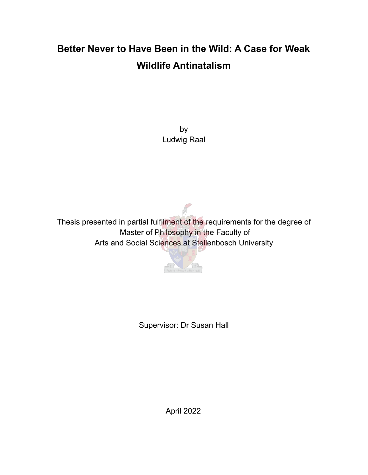# **Better Never to Have Been in the Wild: A Case for Weak Wildlife Antinatalism**

by Ludwig Raal

Thesis presented in partial fulfilment of the requirements for the degree of Master of Philosophy in the Faculty of Arts and Social Sciences at Stellenbosch University



Supervisor: Dr Susan Hall

April 2022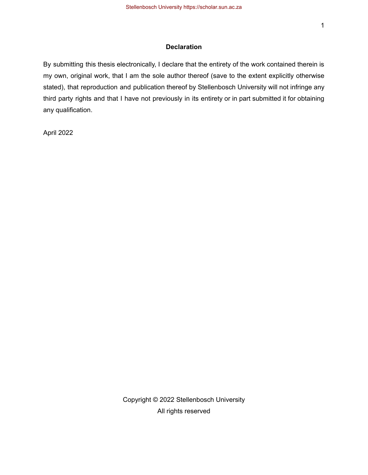#### **Declaration**

By submitting this thesis electronically, I declare that the entirety of the work contained therein is my own, original work, that I am the sole author thereof (save to the extent explicitly otherwise stated), that reproduction and publication thereof by Stellenbosch University will not infringe any third party rights and that I have not previously in its entirety or in part submitted it for obtaining any qualification.

April 2022

Copyright © 2022 Stellenbosch University All rights reserved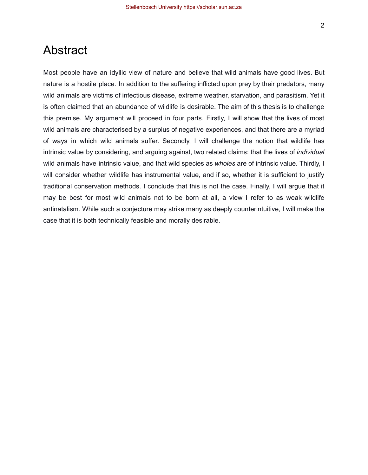## Abstract

Most people have an idyllic view of nature and believe that wild animals have good lives. But nature is a hostile place. In addition to the suffering inflicted upon prey by their predators, many wild animals are victims of infectious disease, extreme weather, starvation, and parasitism. Yet it is often claimed that an abundance of wildlife is desirable. The aim of this thesis is to challenge this premise. My argument will proceed in four parts. Firstly, I will show that the lives of most wild animals are characterised by a surplus of negative experiences, and that there are a myriad of ways in which wild animals suffer. Secondly, I will challenge the notion that wildlife has intrinsic value by considering, and arguing against, two related claims: that the lives of *individual* wild animals have intrinsic value, and that wild species as *wholes* are of intrinsic value. Thirdly, I will consider whether wildlife has instrumental value, and if so, whether it is sufficient to justify traditional conservation methods. I conclude that this is not the case. Finally, I will argue that it may be best for most wild animals not to be born at all, a view I refer to as weak wildlife antinatalism. While such a conjecture may strike many as deeply counterintuitive, I will make the case that it is both technically feasible and morally desirable.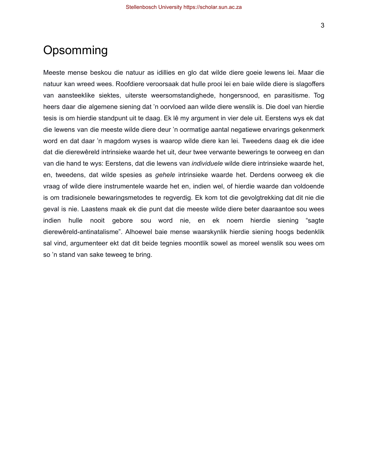# Opsomming

Meeste mense beskou die natuur as idillies en glo dat wilde diere goeie lewens lei. Maar die natuur kan wreed wees. Roofdiere veroorsaak dat hulle prooi lei en baie wilde diere is slagoffers van aansteeklike siektes, uiterste weersomstandighede, hongersnood, en parasitisme. Tog heers daar die algemene siening dat 'n oorvloed aan wilde diere wenslik is. Die doel van hierdie tesis is om hierdie standpunt uit te daag. Ek lê my argument in vier dele uit. Eerstens wys ek dat die lewens van die meeste wilde diere deur 'n oormatige aantal negatiewe ervarings gekenmerk word en dat daar 'n magdom wyses is waarop wilde diere kan lei. Tweedens daag ek die idee dat die dierewêreld intrinsieke waarde het uit, deur twee verwante bewerings te oorweeg en dan van die hand te wys: Eerstens, dat die lewens van *individuele* wilde diere intrinsieke waarde het, en, tweedens, dat wilde spesies as *gehele* intrinsieke waarde het. Derdens oorweeg ek die vraag of wilde diere instrumentele waarde het en, indien wel, of hierdie waarde dan voldoende is om tradisionele bewaringsmetodes te regverdig. Ek kom tot die gevolgtrekking dat dit nie die geval is nie. Laastens maak ek die punt dat die meeste wilde diere beter daaraantoe sou wees indien hulle nooit gebore sou word nie, en ek noem hierdie siening "sagte dierewêreld-antinatalisme". Alhoewel baie mense waarskynlik hierdie siening hoogs bedenklik sal vind, argumenteer ekt dat dit beide tegnies moontlik sowel as moreel wenslik sou wees om so 'n stand van sake teweeg te bring.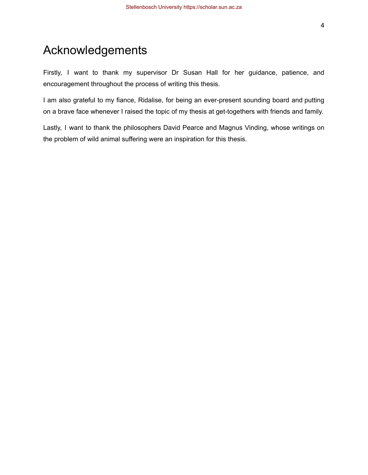Firstly, I want to thank my supervisor Dr Susan Hall for her guidance, patience, and encouragement throughout the process of writing this thesis.

I am also grateful to my fiance, Ridalise, for being an ever-present sounding board and putting on a brave face whenever I raised the topic of my thesis at get-togethers with friends and family.

Lastly, I want to thank the philosophers David Pearce and Magnus Vinding, whose writings on the problem of wild animal suffering were an inspiration for this thesis.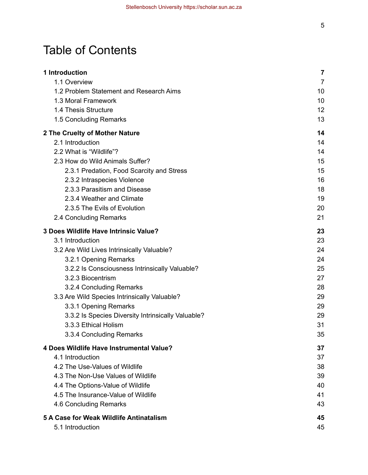# Table of Contents

| 1 Introduction                                     | $\overline{\mathbf{z}}$ |
|----------------------------------------------------|-------------------------|
| 1.1 Overview                                       | $\overline{7}$          |
| 1.2 Problem Statement and Research Aims            | 10                      |
| 1.3 Moral Framework                                | 10                      |
| 1.4 Thesis Structure                               | 12                      |
| 1.5 Concluding Remarks                             | 13                      |
| 2 The Cruelty of Mother Nature                     | 14                      |
| 2.1 Introduction                                   | 14                      |
| 2.2 What is "Wildlife"?                            | 14                      |
| 2.3 How do Wild Animals Suffer?                    | 15                      |
| 2.3.1 Predation, Food Scarcity and Stress          | 15                      |
| 2.3.2 Intraspecies Violence                        | 16                      |
| 2.3.3 Parasitism and Disease                       | 18                      |
| 2.3.4 Weather and Climate                          | 19                      |
| 2.3.5 The Evils of Evolution                       | 20                      |
| 2.4 Concluding Remarks                             | 21                      |
| 3 Does Wildlife Have Intrinsic Value?              | 23                      |
| 3.1 Introduction                                   | 23                      |
| 3.2 Are Wild Lives Intrinsically Valuable?         | 24                      |
| 3.2.1 Opening Remarks                              | 24                      |
| 3.2.2 Is Consciousness Intrinsically Valuable?     | 25                      |
| 3.2.3 Biocentrism                                  | 27                      |
| 3.2.4 Concluding Remarks                           | 28                      |
| 3.3 Are Wild Species Intrinsically Valuable?       | 29                      |
| 3.3.1 Opening Remarks                              | 29                      |
| 3.3.2 Is Species Diversity Intrinsically Valuable? | 29                      |
| 3.3.3 Ethical Holism                               | 31                      |
| 3.3.4 Concluding Remarks                           | 35                      |
| 4 Does Wildlife Have Instrumental Value?           | 37                      |
| 4.1 Introduction                                   | 37                      |
| 4.2 The Use-Values of Wildlife                     | 38                      |
| 4.3 The Non-Use Values of Wildlife                 | 39                      |
| 4.4 The Options-Value of Wildlife                  | 40                      |
| 4.5 The Insurance-Value of Wildlife                | 41                      |
| 4.6 Concluding Remarks                             | 43                      |
| 5 A Case for Weak Wildlife Antinatalism            | 45                      |
| 5.1 Introduction                                   | 45                      |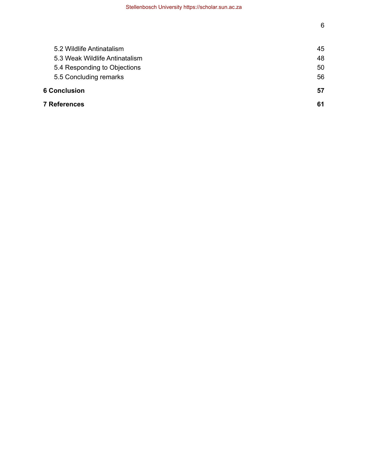| 7 References                   | 61 |
|--------------------------------|----|
| <b>6 Conclusion</b>            | 57 |
| 5.5 Concluding remarks         | 56 |
| 5.4 Responding to Objections   | 50 |
| 5.3 Weak Wildlife Antinatalism | 48 |
| 5.2 Wildlife Antinatalism      | 45 |
|                                |    |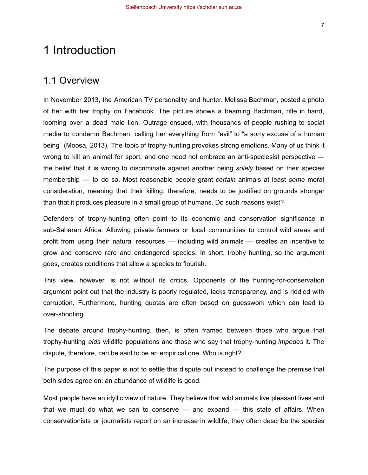# <span id="page-7-0"></span>1 Introduction

### <span id="page-7-1"></span>1.1 Overview

In November 2013, the American TV personality and hunter, Melissa Bachman, posted a photo of her with her trophy on Facebook. The picture shows a beaming Bachman, rifle in hand, looming over a dead male lion. Outrage ensued, with thousands of people rushing to social media to condemn Bachman, calling her everything from "evil" to "a sorry excuse of a human being" (Moosa, 2013). The topic of trophy-hunting provokes strong emotions. Many of us think it wrong to kill an animal for sport, and one need not embrace an anti-speciesist perspective the belief that it is wrong to discriminate against another being *solely* based on their species membership — to do so. Most reasonable people grant *certain* animals at least *some* moral consideration, meaning that their killing, therefore, needs to be justified on grounds stronger than that it produces pleasure in a small group of humans. Do such reasons exist?

Defenders of trophy-hunting often point to its economic and conservation significance in sub-Saharan Africa. Allowing private farmers or local communities to control wild areas and profit from using their natural resources — including wild animals — creates an incentive to grow and conserve rare and endangered species. In short, trophy hunting, so the argument goes, creates conditions that allow a species to flourish.

This view, however, is not without its critics. Opponents of the hunting-for-conservation argument point out that the industry is poorly regulated, lacks transparency, and is riddled with corruption. Furthermore, hunting quotas are often based on guesswork which can lead to over-shooting.

The debate around trophy-hunting, then, is often framed between those who argue that trophy-hunting *aids* wildlife populations and those who say that trophy-hunting *impedes* it. The dispute, therefore, can be said to be an empirical one. Who is right?

The purpose of this paper is not to settle this dispute but instead to challenge the premise that both sides agree on: an abundance of wildlife is good.

Most people have an idyllic view of nature. They believe that wild animals live pleasant lives and that we must do what we can to conserve — and expand — this state of affairs. When conservationists or journalists report on an increase in wildlife, they often describe the species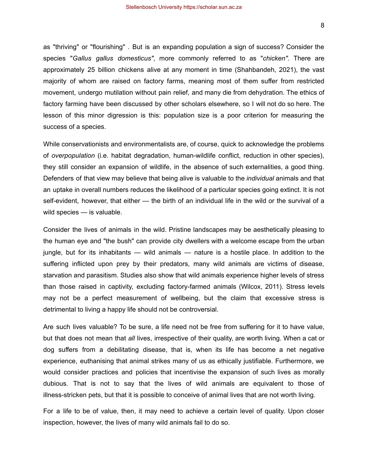as "thriving" or "flourishing" . But is an expanding population a sign of success? Consider the species "*Gallus gallus domesticus"*, more commonly referred to as "*chicken"*. There are approximately 25 billion chickens alive at any moment in time (Shahbandeh, 2021), the vast majority of whom are raised on factory farms, meaning most of them suffer from restricted movement, undergo mutilation without pain relief, and many die from dehydration. The ethics of factory farming have been discussed by other scholars elsewhere, so I will not do so here. The lesson of this minor digression is this: population size is a poor criterion for measuring the success of a species.

While conservationists and environmentalists are, of course, quick to acknowledge the problems of *overpopulation* (i.e. habitat degradation, human-wildlife conflict, reduction in other species), they still consider an expansion of wildlife, in the absence of such externalities, a good thing. Defenders of that view may believe that being alive is valuable to the *individual* animals and that an uptake in overall numbers reduces the likelihood of a particular species going extinct. It is not self-evident, however, that either — the birth of an individual life in the wild or the survival of a wild species — is valuable.

Consider the lives of animals in the wild. Pristine landscapes may be aesthetically pleasing to the human eye and "the bush" can provide city dwellers with a welcome escape from the urban jungle, but for its inhabitants — wild animals — nature is a hostile place. In addition to the suffering inflicted upon prey by their predators, many wild animals are victims of disease, starvation and parasitism. Studies also show that wild animals experience higher levels of stress than those raised in captivity, excluding factory-farmed animals (Wilcox, 2011). Stress levels may not be a perfect measurement of wellbeing, but the claim that excessive stress is detrimental to living a happy life should not be controversial.

Are such lives valuable? To be sure, a life need not be free from suffering for it to have value, but that does not mean that *all* lives, irrespective of their quality, are worth living. When a cat or dog suffers from a debilitating disease, that is, when its life has become a net negative experience, euthanising that animal strikes many of us as ethically justifiable. Furthermore, we would consider practices and policies that incentivise the expansion of such lives as morally dubious. That is not to say that the lives of wild animals are equivalent to those of illness-stricken pets, but that it is possible to conceive of animal lives that are not worth living.

For a life to be of value, then, it may need to achieve a certain level of quality. Upon closer inspection, however, the lives of many wild animals fail to do so.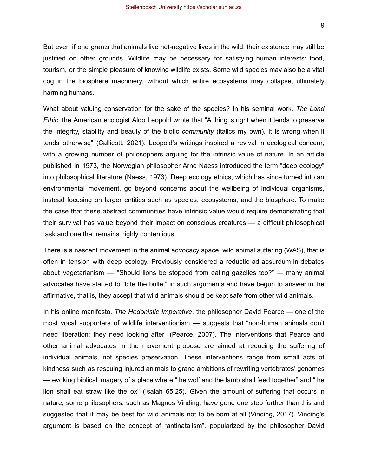But even if one grants that animals live net-negative lives in the wild, their existence may still be justified on other grounds. Wildlife may be necessary for satisfying human interests: food, tourism, or the simple pleasure of knowing wildlife exists. Some wild species may also be a vital cog in the biosphere machinery, without which entire ecosystems may collapse, ultimately harming humans.

What about valuing conservation for the sake of the species? In his seminal work, *The Land Ethic*, the American ecologist Aldo Leopold wrote that "A thing is right when it tends to preserve the integrity, stability and beauty of the biotic *community* (italics my own). It is wrong when it tends otherwise" (Callicott, 2021). Leopold's writings inspired a revival in ecological concern, with a growing number of philosophers arguing for the intrinsic value of nature. In an article published in 1973, the Norwegian philosopher Arne Naess introduced the term "deep ecology" into philosophical literature (Naess, 1973). Deep ecology ethics, which has since turned into an environmental movement, go beyond concerns about the wellbeing of individual organisms, instead focusing on larger entities such as species, ecosystems, and the biosphere. To make the case that these abstract communities have intrinsic value would require demonstrating that their survival has value beyond their impact on conscious creatures — a difficult philosophical task and one that remains highly contentious.

There is a nascent movement in the animal advocacy space, wild animal suffering (WAS), that is often in tension with deep ecology. Previously considered a reductio ad absurdum in debates about vegetarianism — "Should lions be stopped from eating gazelles too?" — many animal advocates have started to "bite the bullet" in such arguments and have begun to answer in the affirmative, that is, they accept that wild animals should be kept safe from other wild animals.

In his online manifesto, *The Hedonistic Imperative*, the philosopher David Pearce — one of the most vocal supporters of wildlife interventionism — suggests that "non-human animals don't need liberation; they need looking after" (Pearce, 2007). The interventions that Pearce and other animal advocates in the movement propose are aimed at reducing the suffering of individual animals, not species preservation. These interventions range from small acts of kindness such as rescuing injured animals to grand ambitions of rewriting vertebrates' genomes — evoking biblical imagery of a place where "the wolf and the lamb shall feed together" and "the lion shall eat straw like the ox" (Isaiah 65:25). Given the amount of suffering that occurs in nature, some philosophers, such as Magnus Vinding, have gone one step further than this and suggested that it may be best for wild animals not to be born at all (Vinding, 2017). Vinding's argument is based on the concept of "antinatalism", popularized by the philosopher David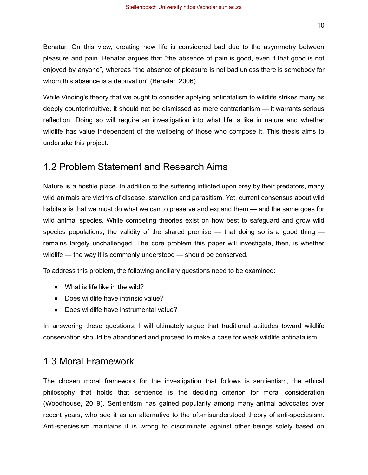While Vinding's theory that we ought to consider applying antinatalism to wildlife strikes many as deeply counterintuitive, it should not be dismissed as mere contrarianism — it warrants serious reflection. Doing so will require an investigation into what life is like in nature and whether wildlife has value independent of the wellbeing of those who compose it. This thesis aims to undertake this project.

## <span id="page-10-0"></span>1.2 Problem Statement and Research Aims

Nature is a hostile place. In addition to the suffering inflicted upon prey by their predators, many wild animals are victims of disease, starvation and parasitism. Yet, current consensus about wild habitats is that we must do what we can to preserve and expand them — and the same goes for wild animal species. While competing theories exist on how best to safeguard and grow wild species populations, the validity of the shared premise  $-$  that doing so is a good thing  $$ remains largely unchallenged. The core problem this paper will investigate, then, is whether wildlife — the way it is commonly understood — should be conserved.

To address this problem, the following ancillary questions need to be examined:

- What is life like in the wild?
- Does wildlife have intrinsic value?
- Does wildlife have instrumental value?

In answering these questions, I will ultimately argue that traditional attitudes toward wildlife conservation should be abandoned and proceed to make a case for weak wildlife antinatalism.

## <span id="page-10-1"></span>1.3 Moral Framework

The chosen moral framework for the investigation that follows is sentientism, the ethical philosophy that holds that sentience is the deciding criterion for moral consideration (Woodhouse, 2019). Sentientism has gained popularity among many animal advocates over recent years, who see it as an alternative to the oft-misunderstood theory of anti-speciesism. Anti-speciesism maintains it is wrong to discriminate against other beings solely based on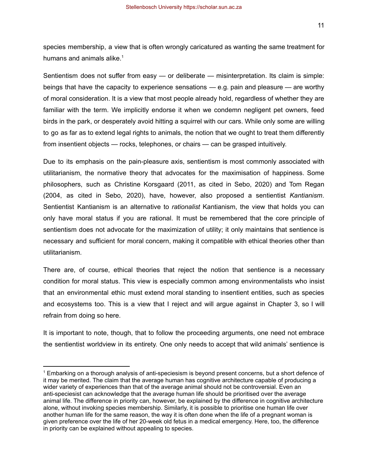11

species membership, a view that is often wrongly caricatured as wanting the same treatment for humans and animals alike. $1$ 

Sentientism does not suffer from easy — or deliberate — misinterpretation. Its claim is simple: beings that have the capacity to experience sensations — e.g. pain and pleasure — are worthy of moral consideration. It is a view that most people already hold, regardless of whether they are familiar with the term. We implicitly endorse it when we condemn negligent pet owners, feed birds in the park, or desperately avoid hitting a squirrel with our cars. While only some are willing to go as far as to extend legal rights to animals, the notion that we ought to treat them differently from insentient objects — rocks, telephones, or chairs — can be grasped intuitively.

Due to its emphasis on the pain-pleasure axis, sentientism is most commonly associated with utilitarianism, the normative theory that advocates for the maximisation of happiness. Some philosophers, such as Christine Korsgaard (2011, as cited in Sebo, 2020) and Tom Regan (2004, as cited in Sebo, 2020), have, however, also proposed a sentientist *Kantianism*. Sentientist Kantianism is an alternative to *rationalist* Kantianism, the view that holds you can only have moral status if you are rational. It must be remembered that the core principle of sentientism does not advocate for the maximization of utility; it only maintains that sentience is necessary and sufficient for moral concern, making it compatible with ethical theories other than utilitarianism.

There are, of course, ethical theories that reject the notion that sentience is a necessary condition for moral status. This view is especially common among environmentalists who insist that an environmental ethic must extend moral standing to insentient entities, such as species and ecosystems too. This is a view that I reject and will argue against in Chapter 3, so I will refrain from doing so here.

It is important to note, though, that to follow the proceeding arguments, one need not embrace the sentientist worldview in its entirety. One only needs to accept that wild animals' sentience is

<sup>1</sup> Embarking on a thorough analysis of anti-speciesism is beyond present concerns, but a short defence of it may be merited. The claim that the average human has cognitive architecture capable of producing a wider variety of experiences than that of the average animal should not be controversial. Even an anti-speciesist can acknowledge that the average human life should be prioritised over the average animal life. The difference in priority can, however, be explained by the difference in cognitive architecture alone, without invoking species membership. Similarly, it is possible to prioritise one human life over another human life for the same reason, the way it is often done when the life of a pregnant woman is given preference over the life of her 20-week old fetus in a medical emergency. Here, too, the difference in priority can be explained without appealing to species.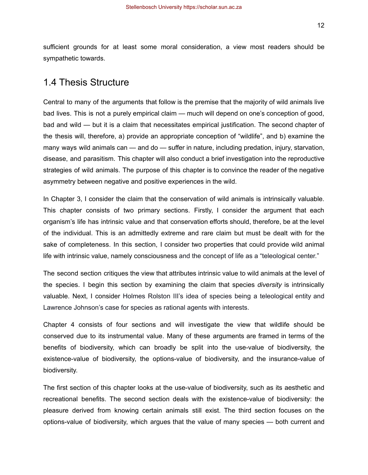sufficient grounds for at least some moral consideration, a view most readers should be sympathetic towards.

## <span id="page-12-0"></span>1.4 Thesis Structure

Central to many of the arguments that follow is the premise that the majority of wild animals live bad lives. This is not a purely empirical claim — much will depend on one's conception of good, bad and wild — but it is a claim that necessitates empirical justification. The second chapter of the thesis will, therefore, a) provide an appropriate conception of "wildlife", and b) examine the many ways wild animals can — and do — suffer in nature, including predation, injury, starvation, disease, and parasitism. This chapter will also conduct a brief investigation into the reproductive strategies of wild animals. The purpose of this chapter is to convince the reader of the negative asymmetry between negative and positive experiences in the wild.

In Chapter 3, I consider the claim that the conservation of wild animals is intrinsically valuable. This chapter consists of two primary sections. Firstly, I consider the argument that each organism's life has intrinsic value and that conservation efforts should, therefore, be at the level of the individual. This is an admittedly extreme and rare claim but must be dealt with for the sake of completeness. In this section, I consider two properties that could provide wild animal life with intrinsic value, namely consciousness and the concept of life as a "teleological center."

The second section critiques the view that attributes intrinsic value to wild animals at the level of the species. I begin this section by examining the claim that species *diversity* is intrinsically valuable. Next, I consider Holmes Rolston III's idea of species being a teleological entity and Lawrence Johnson's case for species as rational agents with interests.

Chapter 4 consists of four sections and will investigate the view that wildlife should be conserved due to its instrumental value. Many of these arguments are framed in terms of the benefits of biodiversity, which can broadly be split into the use-value of biodiversity, the existence-value of biodiversity, the options-value of biodiversity, and the insurance-value of biodiversity.

The first section of this chapter looks at the use-value of biodiversity, such as its aesthetic and recreational benefits. The second section deals with the existence-value of biodiversity: the pleasure derived from knowing certain animals still exist. The third section focuses on the options-value of biodiversity, which argues that the value of many species — both current and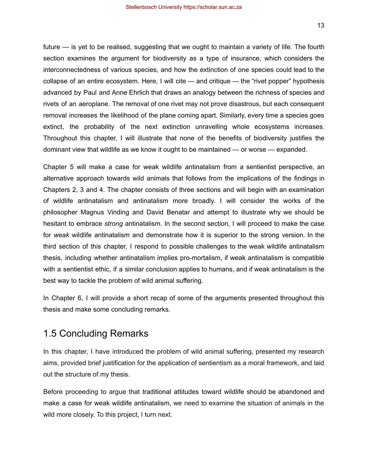future — is yet to be realised, suggesting that we ought to maintain a variety of life. The fourth section examines the argument for biodiversity as a type of insurance, which considers the interconnectedness of various species, and how the extinction of one species could lead to the collapse of an entire ecosystem. Here, I will cite — and critique — the "rivet popper" hypothesis advanced by Paul and Anne Ehrlich that draws an analogy between the richness of species and rivets of an aeroplane. The removal of one rivet may not prove disastrous, but each consequent removal increases the likelihood of the plane coming apart. Similarly, every time a species goes extinct, the probability of the next extinction unravelling whole ecosystems increases. Throughout this chapter, I will illustrate that none of the benefits of biodiversity justifies the dominant view that wildlife as we know it ought to be maintained — or worse — expanded.

Chapter 5 will make a case for weak wildlife antinatalism from a sentientist perspective, an alternative approach towards wild animals that follows from the implications of the findings in Chapters 2, 3 and 4. The chapter consists of three sections and will begin with an examination of wildlife antinatalism and antinatalism more broadly. I will consider the works of the philosopher Magnus Vinding and David Benatar and attempt to illustrate why we should be hesitant to embrace *strong* antinatalism. In the second section, I will proceed to make the case for *weak* wildlife antinatalism and demonstrate how it is superior to the strong version. In the third section of this chapter, I respond to possible challenges to the weak wildlife antinatalism thesis, including whether antinatalism implies pro-mortalism, if weak antinatalism is compatible with a sentientist ethic, if a similar conclusion applies to humans, and if weak antinatalism is the best way to tackle the problem of wild animal suffering.

In Chapter 6, I will provide a short recap of some of the arguments presented throughout this thesis and make some concluding remarks.

## <span id="page-13-0"></span>1.5 Concluding Remarks

In this chapter, I have introduced the problem of wild animal suffering, presented my research aims, provided brief justification for the application of sentientism as a moral framework, and laid out the structure of my thesis.

Before proceeding to argue that traditional attitudes toward wildlife should be abandoned and make a case for weak wildlife antinatalism, we need to examine the situation of animals in the wild more closely. To this project, I turn next.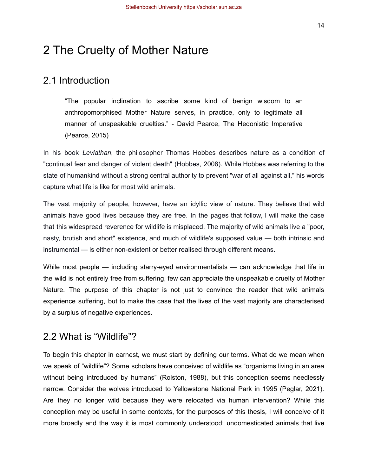# <span id="page-14-0"></span>2 The Cruelty of Mother Nature

## <span id="page-14-1"></span>2.1 Introduction

"The popular inclination to ascribe some kind of benign wisdom to an anthropomorphised Mother Nature serves, in practice, only to legitimate all manner of unspeakable cruelties." - David Pearce, The Hedonistic Imperative (Pearce, 2015)

In his book *Leviathan*, the philosopher Thomas Hobbes describes nature as a condition of "continual fear and danger of violent death" (Hobbes, 2008). While Hobbes was referring to the state of humankind without a strong central authority to prevent "war of all against all," his words capture what life is like for most wild animals.

The vast majority of people, however, have an idyllic view of nature. They believe that wild animals have good lives because they are free. In the pages that follow, I will make the case that this widespread reverence for wildlife is misplaced. The majority of wild animals live a "poor, nasty, brutish and short" existence, and much of wildlife's supposed value — both intrinsic and instrumental — is either non-existent or better realised through different means.

While most people — including starry-eyed environmentalists — can acknowledge that life in the wild is not entirely free from suffering, few can appreciate the unspeakable cruelty of Mother Nature. The purpose of this chapter is not just to convince the reader that wild animals experience suffering, but to make the case that the lives of the vast majority are characterised by a surplus of negative experiences.

## <span id="page-14-2"></span>2.2 What is "Wildlife"?

To begin this chapter in earnest, we must start by defining our terms. What do we mean when we speak of "wildlife"? Some scholars have conceived of wildlife as "organisms living in an area without being introduced by humans" (Rolston, 1988), but this conception seems needlessly narrow. Consider the wolves introduced to Yellowstone National Park in 1995 (Peglar, 2021). Are they no longer wild because they were relocated via human intervention? While this conception may be useful in some contexts, for the purposes of this thesis, I will conceive of it more broadly and the way it is most commonly understood: undomesticated animals that live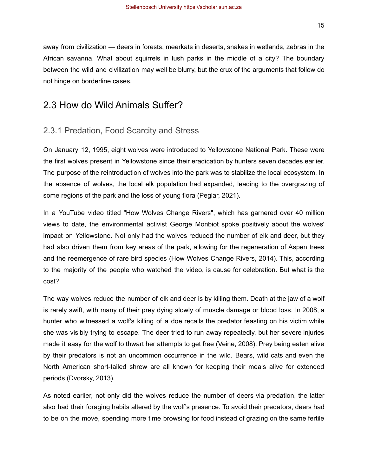away from civilization — deers in forests, meerkats in deserts, snakes in wetlands, zebras in the African savanna. What about squirrels in lush parks in the middle of a city? The boundary between the wild and civilization may well be blurry, but the crux of the arguments that follow do not hinge on borderline cases.

## <span id="page-15-0"></span>2.3 How do Wild Animals Suffer?

#### <span id="page-15-1"></span>2.3.1 Predation, Food Scarcity and Stress

On January 12, 1995, eight wolves were introduced to Yellowstone National Park. These were the first wolves present in Yellowstone since their eradication by hunters seven decades earlier. The purpose of the reintroduction of wolves into the park was to stabilize the local ecosystem. In the absence of wolves, the local elk population had expanded, leading to the overgrazing of some regions of the park and the loss of young flora (Peglar, 2021).

In a YouTube video titled "How Wolves Change Rivers", which has garnered over 40 million views to date, the environmental activist George Monbiot spoke positively about the wolves' impact on Yellowstone. Not only had the wolves reduced the number of elk and deer, but they had also driven them from key areas of the park, allowing for the regeneration of Aspen trees and the reemergence of rare bird species (How Wolves Change Rivers, 2014). This, according to the majority of the people who watched the video, is cause for celebration. But what is the cost?

The way wolves reduce the number of elk and deer is by killing them. Death at the jaw of a wolf is rarely swift, with many of their prey dying slowly of muscle damage or blood loss. In 2008, a hunter who witnessed a wolf's killing of a doe recalls the predator feasting on his victim while she was visibly trying to escape. The deer tried to run away repeatedly, but her severe injuries made it easy for the wolf to thwart her attempts to get free (Veine, 2008). Prey being eaten alive by their predators is not an uncommon occurrence in the wild. Bears, wild cats and even the North American short-tailed shrew are all known for keeping their meals alive for extended periods (Dvorsky, 2013).

As noted earlier, not only did the wolves reduce the number of deers via predation, the latter also had their foraging habits altered by the wolf's presence. To avoid their predators, deers had to be on the move, spending more time browsing for food instead of grazing on the same fertile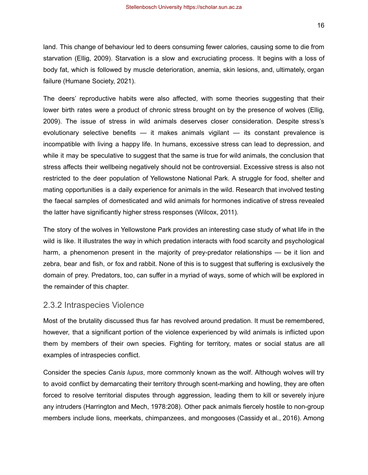land. This change of behaviour led to deers consuming fewer calories, causing some to die from starvation (Ellig, 2009). Starvation is a slow and excruciating process. It begins with a loss of body fat, which is followed by muscle deterioration, anemia, skin lesions, and, ultimately, organ failure (Humane Society, 2021).

The deers' reproductive habits were also affected, with some theories suggesting that their lower birth rates were a product of chronic stress brought on by the presence of wolves (Ellig, 2009). The issue of stress in wild animals deserves closer consideration. Despite stress's evolutionary selective benefits — it makes animals vigilant — its constant prevalence is incompatible with living a happy life. In humans, excessive stress can lead to depression, and while it may be speculative to suggest that the same is true for wild animals, the conclusion that stress affects their wellbeing negatively should not be controversial. Excessive stress is also not restricted to the deer population of Yellowstone National Park. A struggle for food, shelter and mating opportunities is a daily experience for animals in the wild. Research that involved testing the faecal samples of domesticated and wild animals for hormones indicative of stress revealed the latter have significantly higher stress responses (Wilcox, 2011).

The story of the wolves in Yellowstone Park provides an interesting case study of what life in the wild is like. It illustrates the way in which predation interacts with food scarcity and psychological harm, a phenomenon present in the majority of prey-predator relationships — be it lion and zebra, bear and fish, or fox and rabbit. None of this is to suggest that suffering is exclusively the domain of prey. Predators, too, can suffer in a myriad of ways, some of which will be explored in the remainder of this chapter.

#### <span id="page-16-0"></span>2.3.2 Intraspecies Violence

Most of the brutality discussed thus far has revolved around predation. It must be remembered, however, that a significant portion of the violence experienced by wild animals is inflicted upon them by members of their own species. Fighting for territory, mates or social status are all examples of intraspecies conflict.

Consider the species *Canis lupus*, more commonly known as the wolf. Although wolves will try to avoid conflict by demarcating their territory through scent-marking and howling, they are often forced to resolve territorial disputes through aggression, leading them to kill or severely injure any intruders (Harrington and Mech, 1978:208). Other pack animals fiercely hostile to non-group members include lions, meerkats, chimpanzees, and mongooses (Cassidy et al., 2016). Among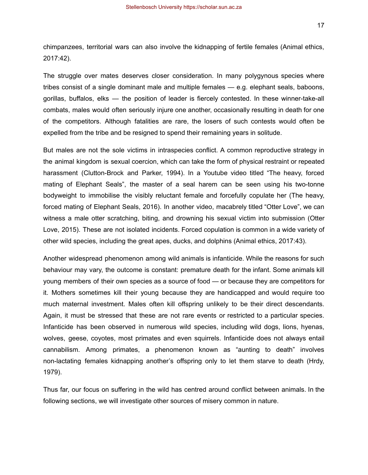17

chimpanzees, territorial wars can also involve the kidnapping of fertile females (Animal ethics, 2017:42).

The struggle over mates deserves closer consideration. In many polygynous species where tribes consist of a single dominant male and multiple females — e.g. elephant seals, baboons, gorillas, buffalos, elks — the position of leader is fiercely contested. In these winner-take-all combats, males would often seriously injure one another, occasionally resulting in death for one of the competitors. Although fatalities are rare, the losers of such contests would often be expelled from the tribe and be resigned to spend their remaining years in solitude.

But males are not the sole victims in intraspecies conflict. A common reproductive strategy in the animal kingdom is sexual coercion, which can take the form of physical restraint or repeated harassment (Clutton-Brock and Parker, 1994). In a Youtube video titled "The heavy, forced mating of Elephant Seals", the master of a seal harem can be seen using his two-tonne bodyweight to immobilise the visibly reluctant female and forcefully copulate her (The heavy, forced mating of Elephant Seals, 2016). In another video, macabrely titled "Otter Love", we can witness a male otter scratching, biting, and drowning his sexual victim into submission (Otter Love, 2015). These are not isolated incidents. Forced copulation is common in a wide variety of other wild species, including the great apes, ducks, and dolphins (Animal ethics, 2017:43).

Another widespread phenomenon among wild animals is infanticide. While the reasons for such behaviour may vary, the outcome is constant: premature death for the infant. Some animals kill young members of their own species as a source of food — or because they are competitors for it. Mothers sometimes kill their young because they are handicapped and would require too much maternal investment. Males often kill offspring unlikely to be their direct descendants. Again, it must be stressed that these are not rare events or restricted to a particular species. Infanticide has been observed in numerous wild species, including wild dogs, lions, hyenas, wolves, geese, coyotes, most primates and even squirrels. Infanticide does not always entail cannabilism. Among primates, a phenomenon known as "aunting to death" involves non-lactating females kidnapping another's offspring only to let them starve to death (Hrdy, 1979).

Thus far, our focus on suffering in the wild has centred around conflict between animals. In the following sections, we will investigate other sources of misery common in nature.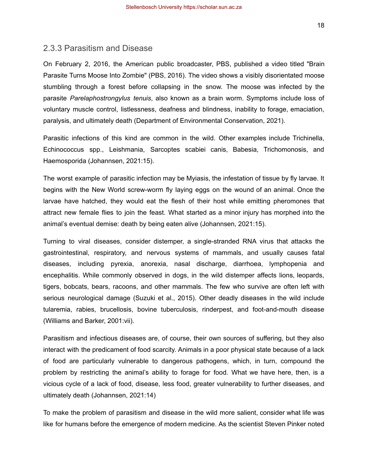#### <span id="page-18-0"></span>2.3.3 Parasitism and Disease

On February 2, 2016, the American public broadcaster, PBS, published a video titled "Brain Parasite Turns Moose Into Zombie" (PBS, 2016). The video shows a visibly disorientated moose stumbling through a forest before collapsing in the snow. The moose was infected by the parasite *Parelaphostrongylus tenuis*, also known as a brain worm. Symptoms include loss of voluntary muscle control, listlessness, deafness and blindness, inability to forage, emaciation, paralysis, and ultimately death (Department of Environmental Conservation, 2021).

Parasitic infections of this kind are common in the wild. Other examples include Trichinella, Echinococcus spp., Leishmania, Sarcoptes scabiei canis, Babesia, Trichomonosis, and Haemosporida (Johannsen, 2021:15).

The worst example of parasitic infection may be Myiasis, the infestation of tissue by fly larvae. It begins with the New World screw-worm fly laying eggs on the wound of an animal. Once the larvae have hatched, they would eat the flesh of their host while emitting pheromones that attract new female flies to join the feast. What started as a minor injury has morphed into the animal's eventual demise: death by being eaten alive (Johannsen, 2021:15).

Turning to viral diseases, consider distemper, a single-stranded RNA virus that attacks the gastrointestinal, respiratory, and nervous systems of mammals, and usually causes fatal diseases, including pyrexia, anorexia, nasal discharge, diarrhoea, lymphopenia and encephalitis. While commonly observed in dogs, in the wild distemper affects lions, leopards, tigers, bobcats, bears, racoons, and other mammals. The few who survive are often left with serious neurological damage (Suzuki et al., 2015). Other deadly diseases in the wild include tularemia, rabies, brucellosis, bovine tuberculosis, rinderpest, and foot-and-mouth disease (Williams and Barker, 2001:vii).

Parasitism and infectious diseases are, of course, their own sources of suffering, but they also interact with the predicament of food scarcity. Animals in a poor physical state because of a lack of food are particularly vulnerable to dangerous pathogens, which, in turn, compound the problem by restricting the animal's ability to forage for food. What we have here, then, is a vicious cycle of a lack of food, disease, less food, greater vulnerability to further diseases, and ultimately death (Johannsen, 2021:14)

To make the problem of parasitism and disease in the wild more salient, consider what life was like for humans before the emergence of modern medicine. As the scientist Steven Pinker noted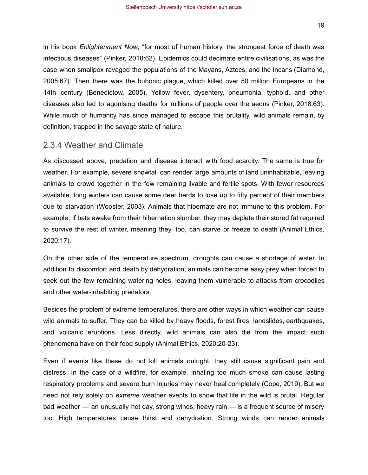in his book *Enlightenment Now*, "for most of human history, the strongest force of death was infectious diseases" (Pinker, 2018:62). Epidemics could decimate entire civilisations, as was the case when smallpox ravaged the populations of the Mayans, Aztecs, and the Incans (Diamond, 2005:67). Then there was the bubonic plague, which killed over 50 million Europeans in the 14th century (Benedictow, 2005). Yellow fever, dysentery, pneumonia, typhoid, and other diseases also led to agonising deaths for millions of people over the aeons (Pinker, 2018:63). While much of humanity has since managed to escape this brutality, wild animals remain, by definition, trapped in the savage state of nature.

### <span id="page-19-0"></span>2.3.4 Weather and Climate

As discussed above, predation and disease interact with food scarcity. The same is true for weather. For example, severe snowfall can render large amounts of land uninhabitable, leaving animals to crowd together in the few remaining livable and fertile spots. With fewer resources available, long winters can cause some deer herds to lose up to fifty percent of their members due to starvation (Wooster, 2003). Animals that hibernate are not immune to this problem. For example, if bats awake from their hibernation slumber, they may deplete their stored fat required to survive the rest of winter, meaning they, too, can starve or freeze to death (Animal Ethics, 2020:17).

On the other side of the temperature spectrum, droughts can cause a shortage of water. In addition to discomfort and death by dehydration, animals can become easy prey when forced to seek out the few remaining watering holes, leaving them vulnerable to attacks from crocodiles and other water-inhabiting predators.

Besides the problem of extreme temperatures, there are other ways in which weather can cause wild animals to suffer. They can be killed by heavy floods, forest fires, landslides, earthquakes, and volcanic eruptions. Less directly, wild animals can also die from the impact such phenomena have on their food supply (Animal Ethics, 2020:20-23).

Even if events like these do not kill animals outright, they still cause significant pain and distress. In the case of a wildfire, for example, inhaling too much smoke can cause lasting respiratory problems and severe burn injuries may never heal completely (Cope, 2019). But we need not rely solely on *extreme* weather events to show that life in the wild is brutal. Regular bad weather — an unusually hot day, strong winds, heavy rain — is a frequent source of misery too. High temperatures cause thirst and dehydration. Strong winds can render animals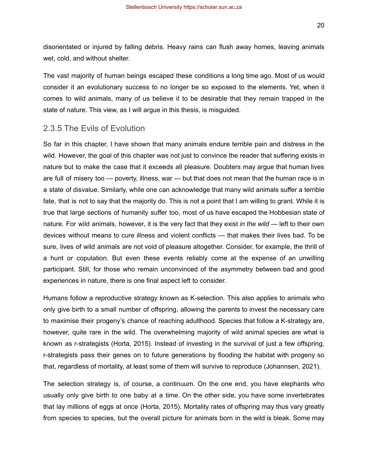20

disorientated or injured by falling debris. Heavy rains can flush away homes, leaving animals wet, cold, and without shelter.

The vast majority of human beings escaped these conditions a long time ago. Most of us would consider it an evolutionary success to no longer be so exposed to the elements. Yet, when it comes to wild animals, many of us believe it to be desirable that they remain trapped in the state of nature. This view, as I will argue in this thesis, is misguided.

#### <span id="page-20-0"></span>2.3.5 The Evils of Evolution

So far in this chapter, I have shown that many animals endure terrible pain and distress in the wild. However, the goal of this chapter was not just to convince the reader that suffering exists in nature but to make the case that it exceeds all pleasure. Doubters may argue that human lives are full of misery too — poverty, illness, war — but that does not mean that the human race is in a state of disvalue. Similarly, while one can acknowledge that many wild animals suffer a terrible fate, that is not to say that the majority do. This is not a point that I am willing to grant. While it is true that large sections of humanity suffer too, most of us have escaped the Hobbesian state of nature. For wild animals, however, it is the very fact that they exist *in the wild* — left to their own devices without means to cure illness and violent conflicts — that makes their lives bad. To be sure, lives of wild animals are not void of pleasure altogether. Consider, for example, the thrill of a hunt or copulation. But even these events reliably come at the expense of an unwilling participant. Still, for those who remain unconvinced of the asymmetry between bad and good experiences in nature, there is one final aspect left to consider.

Humans follow a reproductive strategy known as K-selection. This also applies to animals who only give birth to a small number of offspring, allowing the parents to invest the necessary care to maximise their progeny's chance of reaching adulthood. Species that follow a K-strategy are, however, quite rare in the wild. The overwhelming majority of wild animal species are what is known as r-strategists (Horta, 2015). Instead of investing in the survival of just a few offspring, r-strategists pass their genes on to future generations by flooding the habitat with progeny so that, regardless of mortality, at least some of them will survive to reproduce (Johannsen, 2021).

The selection strategy is, of course, a continuum. On the one end, you have elephants who usually only give birth to one baby at a time. On the other side, you have some invertebrates that lay millions of eggs at once (Horta, 2015). Mortality rates of offspring may thus vary greatly from species to species, but the overall picture for animals born in the wild is bleak. Some may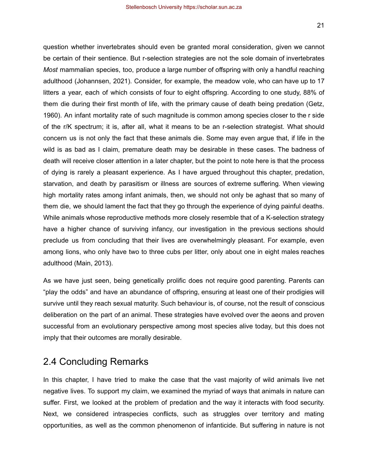question whether invertebrates should even be granted moral consideration, given we cannot be certain of their sentience. But r-selection strategies are not the sole domain of invertebrates *Most* mammalian species, too, produce a large number of offspring with only a handful reaching adulthood (Johannsen, 2021). Consider, for example, the meadow vole, who can have up to 17 litters a year, each of which consists of four to eight offspring. According to one study, 88% of them die during their first month of life, with the primary cause of death being predation (Getz, 1960). An infant mortality rate of such magnitude is common among species closer to the r side of the r/K spectrum; it is, after all, what it means to be an r-selection strategist. What should concern us is not only the fact that these animals die. Some may even argue that, if life in the wild is as bad as I claim, premature death may be desirable in these cases. The badness of death will receive closer attention in a later chapter, but the point to note here is that the process of dying is rarely a pleasant experience. As I have argued throughout this chapter, predation, starvation, and death by parasitism or illness are sources of extreme suffering. When viewing high mortality rates among infant animals, then, we should not only be aghast that so many of them die, we should lament the fact that they go through the experience of dying painful deaths. While animals whose reproductive methods more closely resemble that of a K-selection strategy have a higher chance of surviving infancy, our investigation in the previous sections should preclude us from concluding that their lives are overwhelmingly pleasant. For example, even among lions, who only have two to three cubs per litter, only about one in eight males reaches adulthood (Main, 2013).

As we have just seen, being genetically prolific does not require good parenting. Parents can "play the odds" and have an abundance of offspring, ensuring at least one of their prodigies will survive until they reach sexual maturity. Such behaviour is, of course, not the result of conscious deliberation on the part of an animal. These strategies have evolved over the aeons and proven successful from an evolutionary perspective among most species alive today, but this does not imply that their outcomes are morally desirable.

## <span id="page-21-0"></span>2.4 Concluding Remarks

In this chapter, I have tried to make the case that the vast majority of wild animals live net negative lives. To support my claim, we examined the myriad of ways that animals in nature can suffer. First, we looked at the problem of predation and the way it interacts with food security. Next, we considered intraspecies conflicts, such as struggles over territory and mating opportunities, as well as the common phenomenon of infanticide. But suffering in nature is not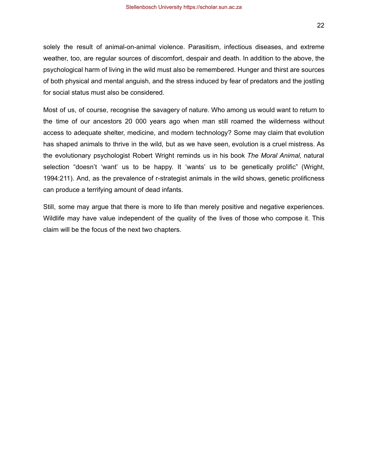solely the result of animal-on-animal violence. Parasitism, infectious diseases, and extreme weather, too, are regular sources of discomfort, despair and death. In addition to the above, the psychological harm of living in the wild must also be remembered. Hunger and thirst are sources of both physical and mental anguish, and the stress induced by fear of predators and the jostling for social status must also be considered.

Most of us, of course, recognise the savagery of nature. Who among us would want to return to the time of our ancestors 20 000 years ago when man still roamed the wilderness without access to adequate shelter, medicine, and modern technology? Some may claim that evolution has shaped animals to thrive in the wild, but as we have seen, evolution is a cruel mistress. As the evolutionary psychologist Robert Wright reminds us in his book *The Moral Animal,* natural selection "doesn't 'want' us to be happy. It 'wants' us to be genetically prolific" (Wright, 1994:211). And, as the prevalence of r-strategist animals in the wild shows, genetic prolificness can produce a terrifying amount of dead infants.

Still, some may argue that there is more to life than merely positive and negative experiences. Wildlife may have value independent of the quality of the lives of those who compose it. This claim will be the focus of the next two chapters.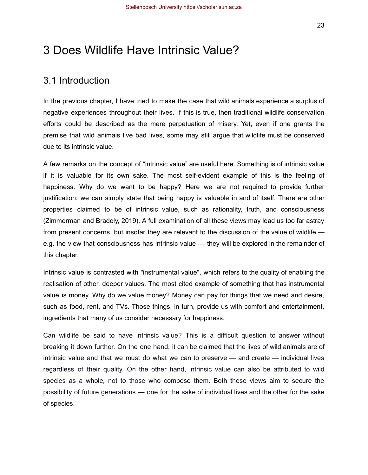# <span id="page-23-0"></span>3 Does Wildlife Have Intrinsic Value?

## <span id="page-23-1"></span>3.1 Introduction

In the previous chapter, I have tried to make the case that wild animals experience a surplus of negative experiences throughout their lives. If this is true, then traditional wildlife conservation efforts could be described as the mere perpetuation of misery. Yet, even if one grants the premise that wild animals live bad lives, some may still argue that wildlife must be conserved due to its intrinsic value.

A few remarks on the concept of "intrinsic value" are useful here. Something is of intrinsic value if it is valuable for its own sake. The most self-evident example of this is the feeling of happiness. Why do we want to be happy? Here we are not required to provide further justification; we can simply state that being happy is valuable in and of itself. There are other properties claimed to be of intrinsic value, such as rationality, truth, and consciousness (Zimmerman and Bradely, 2019). A full examination of all these views may lead us too far astray from present concerns, but insofar they are relevant to the discussion of the value of wildlife e.g. the view that consciousness has intrinsic value — they will be explored in the remainder of this chapter.

Intrinsic value is contrasted with "instrumental value", which refers to the quality of enabling the realisation of other, deeper values. The most cited example of something that has instrumental value is money. Why do we value money? Money can pay for things that we need and desire, such as food, rent, and TVs. Those things, in turn, provide us with comfort and entertainment, ingredients that many of us consider necessary for happiness.

Can wildlife be said to have intrinsic value? This is a difficult question to answer without breaking it down further. On the one hand, it can be claimed that the lives of wild animals are of intrinsic value and that we must do what we can to preserve — and create — individual lives regardless of their quality. On the other hand, intrinsic value can also be attributed to wild species as a whole*,* not to those who compose them. Both these views aim to secure the possibility of future generations — one for the sake of individual lives and the other for the sake of species.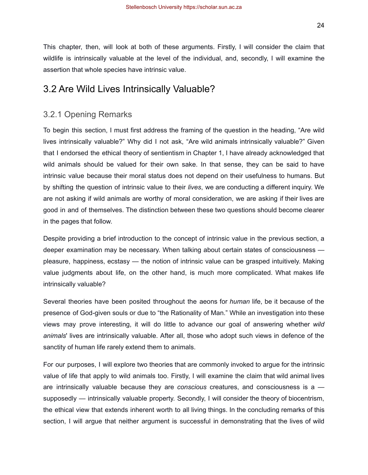This chapter, then, will look at both of these arguments. Firstly, I will consider the claim that wildlife is intrinsically valuable at the level of the individual, and, secondly, I will examine the assertion that whole species have intrinsic value.

## <span id="page-24-0"></span>3.2 Are Wild Lives Intrinsically Valuable?

### <span id="page-24-1"></span>3.2.1 Opening Remarks

To begin this section, I must first address the framing of the question in the heading, "Are wild lives intrinsically valuable?" Why did I not ask, "Are wild animals intrinsically valuable?" Given that I endorsed the ethical theory of sentientism in Chapter 1, I have already acknowledged that wild animals should be valued for their own sake. In that sense, they can be said to have intrinsic value because their moral status does not depend on their usefulness to humans. But by shifting the question of intrinsic value to their *lives*, we are conducting a different inquiry. We are not asking if wild animals are worthy of moral consideration, we are asking if their lives are good in and of themselves. The distinction between these two questions should become clearer in the pages that follow.

Despite providing a brief introduction to the concept of intrinsic value in the previous section, a deeper examination may be necessary. When talking about certain states of consciousness pleasure, happiness, ecstasy — the notion of intrinsic value can be grasped intuitively. Making value judgments about life, on the other hand, is much more complicated. What makes life intrinsically valuable?

Several theories have been posited throughout the aeons for *human* life, be it because of the presence of God-given souls or due to "the Rationality of Man." While an investigation into these views may prove interesting, it will do little to advance our goal of answering whether *wild animals*' lives are intrinsically valuable. After all, those who adopt such views in defence of the sanctity of human life rarely extend them to animals.

For our purposes, I will explore two theories that are commonly invoked to argue for the intrinsic value of life that apply to wild animals too. Firstly, I will examine the claim that wild animal lives are intrinsically valuable because they are *conscious* creatures, and consciousness is a supposedly — intrinsically valuable property. Secondly, I will consider the theory of biocentrism, the ethical view that extends inherent worth to all living things. In the concluding remarks of this section, I will argue that neither argument is successful in demonstrating that the lives of wild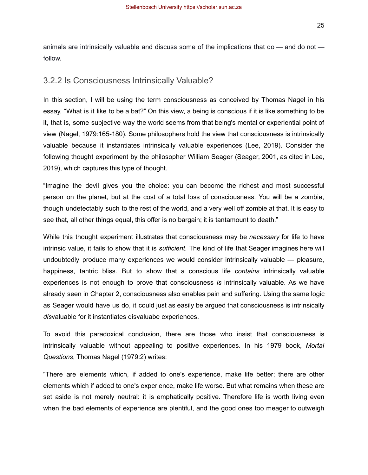25

animals are intrinsically valuable and discuss some of the implications that do — and do not follow.

#### <span id="page-25-0"></span>3.2.2 Is Consciousness Intrinsically Valuable?

In this section, I will be using the term consciousness as conceived by Thomas Nagel in his essay, "What is it like to be a bat?" On this view, a being is conscious if it is like something to be it, that is, some subjective way the world seems from that being's mental or experiential point of view (Nagel, 1979:165-180). Some philosophers hold the view that consciousness is intrinsically valuable because it instantiates intrinsically valuable experiences (Lee, 2019). Consider the following thought experiment by the philosopher William Seager (Seager, 2001, as cited in Lee, 2019), which captures this type of thought.

"Imagine the devil gives you the choice: you can become the richest and most successful person on the planet, but at the cost of a total loss of consciousness. You will be a zombie, though undetectably such to the rest of the world, and a very well off zombie at that. It is easy to see that, all other things equal, this offer is no bargain; it is tantamount to death."

While this thought experiment illustrates that consciousness may be *necessary* for life to have intrinsic value, it fails to show that it is *sufficient*. The kind of life that Seager imagines here will undoubtedly produce many experiences we would consider intrinsically valuable — pleasure, happiness, tantric bliss. But to show that a conscious life *contains* intrinsically valuable experiences is not enough to prove that consciousness *is* intrinsically valuable. As we have already seen in Chapter 2, consciousness also enables pain and suffering. Using the same logic as Seager would have us do, it could just as easily be argued that consciousness is intrinsically *dis*valuable for it instantiates disvaluabe experiences.

To avoid this paradoxical conclusion, there are those who insist that consciousness is intrinsically valuable without appealing to positive experiences. In his 1979 book, *Mortal Questions*, Thomas Nagel (1979:2) writes:

"There are elements which, if added to one's experience, make life better; there are other elements which if added to one's experience, make life worse. But what remains when these are set aside is not merely neutral: it is emphatically positive. Therefore life is worth living even when the bad elements of experience are plentiful, and the good ones too meager to outweigh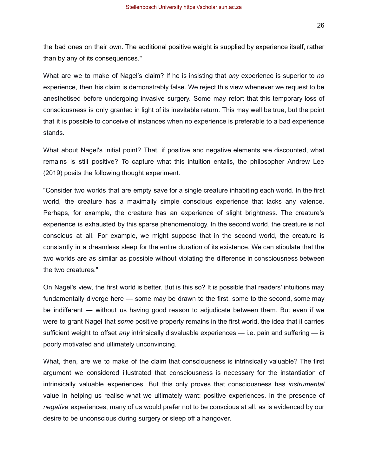26

the bad ones on their own. The additional positive weight is supplied by experience itself, rather than by any of its consequences."

What are we to make of Nagel's claim? If he is insisting that *any* experience is superior to *no* experience, then his claim is demonstrably false. We reject this view whenever we request to be anesthetised before undergoing invasive surgery. Some may retort that this temporary loss of consciousness is only granted in light of its inevitable return. This may well be true, but the point that it is possible to conceive of instances when no experience is preferable to a bad experience stands.

What about Nagel's initial point? That, if positive and negative elements are discounted, what remains is still positive? To capture what this intuition entails, the philosopher Andrew Lee (2019) posits the following thought experiment.

"Consider two worlds that are empty save for a single creature inhabiting each world. In the first world, the creature has a maximally simple conscious experience that lacks any valence. Perhaps, for example, the creature has an experience of slight brightness. The creature's experience is exhausted by this sparse phenomenology. In the second world, the creature is not conscious at all. For example, we might suppose that in the second world, the creature is constantly in a dreamless sleep for the entire duration of its existence. We can stipulate that the two worlds are as similar as possible without violating the difference in consciousness between the two creatures."

On Nagel's view, the first world is better. But is this so? It is possible that readers' intuitions may fundamentally diverge here — some may be drawn to the first, some to the second, some may be indifferent — without us having good reason to adjudicate between them. But even if we were to grant Nagel that *some* positive property remains in the first world, the idea that it carries sufficient weight to offset *any* intrinsically disvaluable experiences — i.e. pain and suffering — is poorly motivated and ultimately unconvincing.

What, then, are we to make of the claim that consciousness is intrinsically valuable? The first argument we considered illustrated that consciousness is necessary for the instantiation of intrinsically valuable experiences. But this only proves that consciousness has *instrumental* value in helping us realise what we ultimately want: positive experiences. In the presence of *negative* experiences, many of us would prefer not to be conscious at all, as is evidenced by our desire to be unconscious during surgery or sleep off a hangover.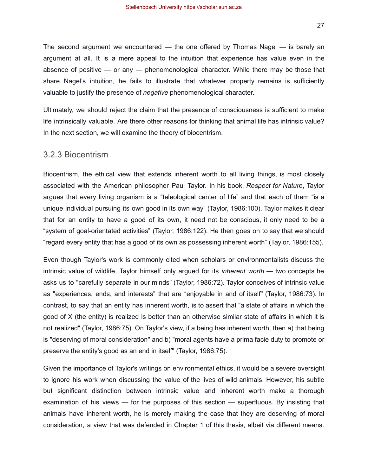The second argument we encountered — the one offered by Thomas Nagel — is barely an argument at all. It is a mere appeal to the intuition that experience has value even in the absence of positive — or any — phenomenological character. While there may be those that share Nagel's intuition, he fails to illustrate that whatever property remains is sufficiently valuable to justify the presence of *negative* phenomenological character.

Ultimately, we should reject the claim that the presence of consciousness is sufficient to make life intrinsically valuable. Are there other reasons for thinking that animal life has intrinsic value? In the next section, we will examine the theory of biocentrism.

#### <span id="page-27-0"></span>3.2.3 Biocentrism

Biocentrism, the ethical view that extends inherent worth to all living things, is most closely associated with the American philosopher Paul Taylor. In his book, *Respect for Nature*, Taylor argues that every living organism is a "teleological center of life" and that each of them "is a unique individual pursuing its own good in its own way" (Taylor, 1986:100). Taylor makes it clear that for an entity to have a good of its own, it need not be conscious, it only need to be a "system of goal-orientated activities" (Taylor, 1986:122). He then goes on to say that we should "regard every entity that has a good of its own as possessing inherent worth" (Taylor, 1986:155).

Even though Taylor's work is commonly cited when scholars or environmentalists discuss the intrinsic value of wildlife, Taylor himself only argued for its *inherent worth* — two concepts he asks us to "carefully separate in our minds" (Taylor, 1986:72). Taylor conceives of intrinsic value as "experiences, ends, and interests" that are "enjoyable in and of itself" (Taylor, 1986:73). In contrast, to say that an entity has inherent worth, is to assert that "a state of affairs in which the good of X (the entity) is realized is better than an otherwise similar state of affairs in which it is not realized" (Taylor, 1986:75). On Taylor's view, if a being has inherent worth, then a) that being is "deserving of moral consideration" and b) "moral agents have a prima facie duty to promote or preserve the entity's good as an end in itself" (Taylor, 1986:75).

Given the importance of Taylor's writings on environmental ethics, it would be a severe oversight to ignore his work when discussing the value of the lives of wild animals. However, his subtle but significant distinction between intrinsic value and inherent worth make a thorough examination of his views — for the purposes of this section — superfluous. By insisting that animals have inherent worth, he is merely making the case that they are deserving of moral consideration, a view that was defended in Chapter 1 of this thesis, albeit via different means.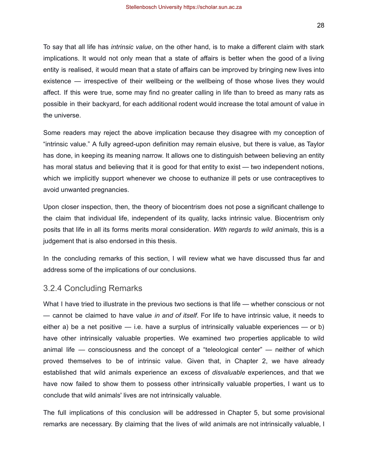To say that all life has *intrinsic value*, on the other hand, is to make a different claim with stark implications. It would not only mean that a state of affairs is better when the good of a living entity is realised, it would mean that a state of affairs can be improved by bringing new lives into existence — irrespective of their wellbeing or the wellbeing of those whose lives they would affect. If this were true, some may find no greater calling in life than to breed as many rats as possible in their backyard, for each additional rodent would increase the total amount of value in the universe.

Some readers may reject the above implication because they disagree with my conception of "intrinsic value." A fully agreed-upon definition may remain elusive, but there is value, as Taylor has done, in keeping its meaning narrow. It allows one to distinguish between believing an entity has moral status and believing that it is good for that entity to exist — two independent notions, which we implicitly support whenever we choose to euthanize ill pets or use contraceptives to avoid unwanted pregnancies.

Upon closer inspection, then, the theory of biocentrism does not pose a significant challenge to the claim that individual life, independent of its quality, lacks intrinsic value. Biocentrism only posits that life in all its forms merits moral consideration. *With regards to wild animals*, this is a judgement that is also endorsed in this thesis.

In the concluding remarks of this section, I will review what we have discussed thus far and address some of the implications of our conclusions.

#### <span id="page-28-0"></span>3.2.4 Concluding Remarks

What I have tried to illustrate in the previous two sections is that life — whether conscious or not — cannot be claimed to have value *in and of itself*. For life to have intrinsic value, it needs to either a) be a net positive  $-$  i.e. have a surplus of intrinsically valuable experiences  $-$  or b) have other intrinsically valuable properties. We examined two properties applicable to wild animal life — consciousness and the concept of a "teleological center" — neither of which proved themselves to be of intrinsic value. Given that, in Chapter 2, we have already established that wild animals experience an excess of *disvaluable* experiences, and that we have now failed to show them to possess other intrinsically valuable properties, I want us to conclude that wild animals' lives are not intrinsically valuable.

The full implications of this conclusion will be addressed in Chapter 5, but some provisional remarks are necessary. By claiming that the lives of wild animals are not intrinsically valuable, I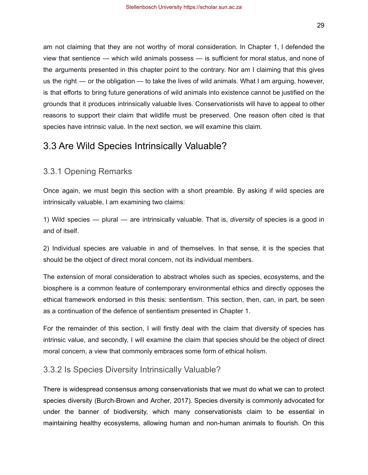am not claiming that they are not worthy of moral consideration. In Chapter 1, I defended the view that sentience — which wild animals possess — is sufficient for moral status, and none of the arguments presented in this chapter point to the contrary. Nor am I claiming that this gives us the right — or the obligation — to take the lives of wild animals. What I am arguing, however, is that efforts to bring future generations of wild animals into existence cannot be justified on the grounds that it produces intrinsically valuable lives. Conservationists will have to appeal to other reasons to support their claim that wildlife must be preserved. One reason often cited is that species have intrinsic value. In the next section, we will examine this claim.

## <span id="page-29-0"></span>3.3 Are Wild Species Intrinsically Valuable?

### <span id="page-29-1"></span>3.3.1 Opening Remarks

Once again, we must begin this section with a short preamble. By asking if wild species are intrinsically valuable, I am examining two claims:

1) Wild species — plural — are intrinsically valuable. That is, *diversity* of species is a good in and of itself.

2) Individual species are valuable in and of themselves. In that sense, it is the species that should be the object of direct moral concern, not its individual members.

The extension of moral consideration to abstract wholes such as species, ecosystems, and the biosphere is a common feature of contemporary environmental ethics and directly opposes the ethical framework endorsed in this thesis: sentientism. This section, then, can, in part, be seen as a continuation of the defence of sentientism presented in Chapter 1.

For the remainder of this section, I will firstly deal with the claim that diversity of species has intrinsic value, and secondly, I will examine the claim that species should be the object of direct moral concern, a view that commonly embraces some form of ethical holism.

### <span id="page-29-2"></span>3.3.2 Is Species Diversity Intrinsically Valuable?

There is widespread consensus among conservationists that we must do what we can to protect species diversity (Burch-Brown and Archer, 2017). Species diversity is commonly advocated for under the banner of biodiversity, which many conservationists claim to be essential in maintaining healthy ecosystems, allowing human and non-human animals to flourish. On this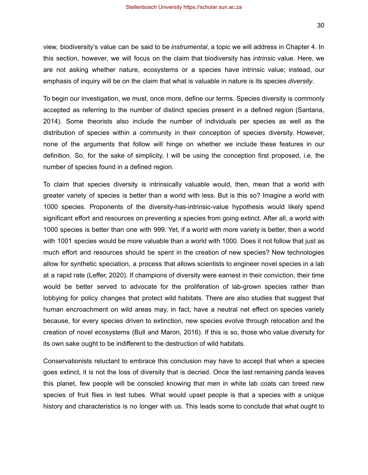30

view, biodiversity's value can be said to be *instrumental*, a topic we will address in Chapter 4. In this section, however, we will focus on the claim that biodiversity has *intrinsic* value. Here, we are not asking whether nature, ecosystems or a species have intrinsic value; instead, our emphasis of inquiry will be on the claim that what is valuable in nature is its species *diversity*.

To begin our investigation, we must, once more, define our terms. Species diversity is commonly accepted as referring to the number of distinct species present in a defined region (Santana, 2014). Some theorists also include the number of individuals per species as well as the distribution of species within a community in their conception of species diversity. However, none of the arguments that follow will hinge on whether we include these features in our definition. So, for the sake of simplicity, I will be using the conception first proposed, i.e. the number of species found in a defined region.

To claim that species diversity is intrinsically valuable would, then, mean that a world with greater variety of species is better than a world with less. But is this so? Imagine a world with 1000 species. Proponents of the diversity-has-intrinsic-value hypothesis would likely spend significant effort and resources on preventing a species from going extinct. After all, a world with 1000 species is better than one with 999. Yet, if a world with more variety is better, then a world with 1001 species would be more valuable than a world with 1000. Does it not follow that just as much effort and resources should be spent in the creation of new species? New technologies allow for synthetic speciation, a process that allows scientists to engineer novel species in a lab at a rapid rate (Leffer, 2020). If champions of diversity were earnest in their conviction, their time would be better served to advocate for the proliferation of lab-grown species rather than lobbying for policy changes that protect wild habitats. There are also studies that suggest that human encroachment on wild areas may, in fact, have a neutral net effect on species variety because, for every species driven to extinction, new species evolve through relocation and the creation of novel ecosystems (Bull and Maron, 2016). If this is so, those who value diversity for its own sake ought to be indifferent to the destruction of wild habitats.

Conservationists reluctant to embrace this conclusion may have to accept that when a species goes extinct, it is not the loss of diversity that is decried. Once the last remaining panda leaves this planet, few people will be consoled knowing that men in white lab coats can breed new species of fruit flies in test tubes. What would upset people is that a species with a unique history and characteristics is no longer with us. This leads some to conclude that what ought to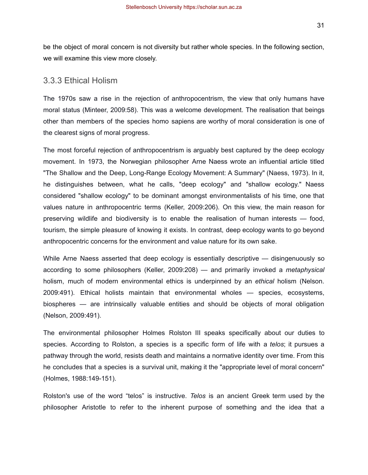be the object of moral concern is not diversity but rather whole species. In the following section, we will examine this view more closely.

#### <span id="page-31-0"></span>3.3.3 Ethical Holism

The 1970s saw a rise in the rejection of anthropocentrism, the view that only humans have moral status (Minteer, 2009:58). This was a welcome development. The realisation that beings other than members of the species homo sapiens are worthy of moral consideration is one of the clearest signs of moral progress.

The most forceful rejection of anthropocentrism is arguably best captured by the deep ecology movement. In 1973, the Norwegian philosopher Arne Naess wrote an influential article titled "The Shallow and the Deep, Long-Range Ecology Movement: A Summary" (Naess, 1973). In it, he distinguishes between, what he calls, "deep ecology" and "shallow ecology." Naess considered "shallow ecology" to be dominant amongst environmentalists of his time, one that values nature in anthropocentric terms (Keller, 2009:206). On this view, the main reason for preserving wildlife and biodiversity is to enable the realisation of human interests — food, tourism, the simple pleasure of knowing it exists. In contrast, deep ecology wants to go beyond anthropocentric concerns for the environment and value nature for its own sake.

While Arne Naess asserted that deep ecology is essentially descriptive — disingenuously so according to some philosophers (Keller, 2009:208) — and primarily invoked a *metaphysical* holism, much of modern environmental ethics is underpinned by an *ethical* holism (Nelson. 2009:491). Ethical holists maintain that environmental wholes — species, ecosystems, biospheres — are intrinsically valuable entities and should be objects of moral obligation (Nelson, 2009:491).

The environmental philosopher Holmes Rolston III speaks specifically about our duties to species. According to Rolston, a species is a specific form of life with a *telos*; it pursues a pathway through the world, resists death and maintains a normative identity over time. From this he concludes that a species is a survival unit, making it the "appropriate level of moral concern" (Holmes, 1988:149-151).

Rolston's use of the word "telos" is instructive. *Telos* is an ancient Greek term used by the philosopher Aristotle to refer to the inherent purpose of something and the idea that a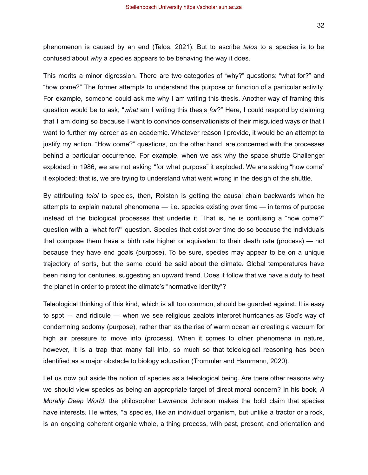32

phenomenon is caused by an end (Telos, 2021). But to ascribe *telos* to a species is to be confused about *why* a species appears to be behaving the way it does.

This merits a minor digression. There are two categories of "why?" questions: "what for?" and "how come?" The former attempts to understand the purpose or function of a particular activity. For example, someone could ask me why I am writing this thesis. Another way of framing this question would be to ask, "*what* am I writing this thesis *for*?" Here, I could respond by claiming that I am doing so because I want to convince conservationists of their misguided ways or that I want to further my career as an academic. Whatever reason I provide, it would be an attempt to justify my action. "How come?" questions, on the other hand, are concerned with the processes behind a particular occurrence. For example, when we ask why the space shuttle Challenger exploded in 1986, we are not asking "for what purpose" it exploded. We are asking "how come" it exploded; that is, we are trying to understand what went wrong in the design of the shuttle.

By attributing *teloi* to species, then, Rolston is getting the causal chain backwards when he attempts to explain natural phenomena — i.e. species existing over time — in terms of purpose instead of the biological processes that underlie it. That is, he is confusing a "how come?" question with a "what for?" question. Species that exist over time do so because the individuals that compose them have a birth rate higher or equivalent to their death rate (process) — not because they have end goals (purpose). To be sure, species may appear to be on a unique trajectory of sorts, but the same could be said about the climate. Global temperatures have been rising for centuries, suggesting an upward trend. Does it follow that we have a duty to heat the planet in order to protect the climate's "normative identity"?

Teleological thinking of this kind, which is all too common, should be guarded against. It is easy to spot — and ridicule — when we see religious zealots interpret hurricanes as God's way of condemning sodomy (purpose), rather than as the rise of warm ocean air creating a vacuum for high air pressure to move into (process). When it comes to other phenomena in nature, however, it is a trap that many fall into, so much so that teleological reasoning has been identified as a major obstacle to biology education (Trommler and Hammann, 2020).

Let us now put aside the notion of species as a teleological being. Are there other reasons why we should view species as being an appropriate target of direct moral concern? In his book, *A Morally Deep World*, the philosopher Lawrence Johnson makes the bold claim that species have interests. He writes, "a species, like an individual organism, but unlike a tractor or a rock, is an ongoing coherent organic whole, a thing process, with past, present, and orientation and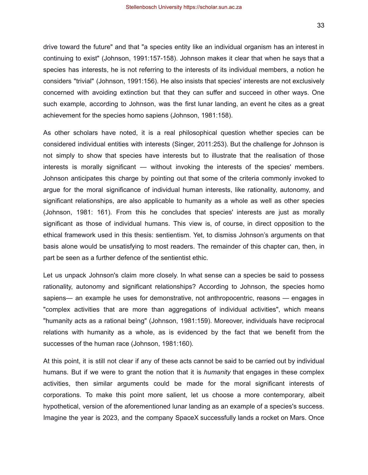drive toward the future" and that "a species entity like an individual organism has an interest in continuing to exist" (Johnson, 1991:157-158). Johnson makes it clear that when he says that a species has interests, he is not referring to the interests of its individual members, a notion he considers "trivial" (Johnson, 1991:156). He also insists that species' interests are not exclusively concerned with avoiding extinction but that they can suffer and succeed in other ways. One such example, according to Johnson, was the first lunar landing, an event he cites as a great

As other scholars have noted, it is a real philosophical question whether species can be considered individual entities with interests (Singer, 2011:253). But the challenge for Johnson is not simply to show that species have interests but to illustrate that the realisation of those interests is morally significant — without invoking the interests of the species' members. Johnson anticipates this charge by pointing out that some of the criteria commonly invoked to argue for the moral significance of individual human interests, like rationality, autonomy, and significant relationships, are also applicable to humanity as a whole as well as other species (Johnson, 1981: 161). From this he concludes that species' interests are just as morally significant as those of individual humans. This view is, of course, in direct opposition to the ethical framework used in this thesis: sentientism. Yet, to dismiss Johnson's arguments on that basis alone would be unsatisfying to most readers. The remainder of this chapter can, then, in part be seen as a further defence of the sentientist ethic.

achievement for the species homo sapiens (Johnson, 1981:158).

Let us unpack Johnson's claim more closely. In what sense can a species be said to possess rationality, autonomy and significant relationships? According to Johnson, the species homo sapiens— an example he uses for demonstrative, not anthropocentric, reasons — engages in "complex activities that are more than aggregations of individual activities", which means "humanity acts as a rational being" (Johnson, 1981:159). Moreover, individuals have reciprocal relations with humanity as a whole, as is evidenced by the fact that we benefit from the successes of the human race (Johnson, 1981:160).

At this point, it is still not clear if any of these acts cannot be said to be carried out by individual humans. But if we were to grant the notion that it is *humanity* that engages in these complex activities, then similar arguments could be made for the moral significant interests of corporations. To make this point more salient, let us choose a more contemporary, albeit hypothetical, version of the aforementioned lunar landing as an example of a species's success. Imagine the year is 2023, and the company SpaceX successfully lands a rocket on Mars. Once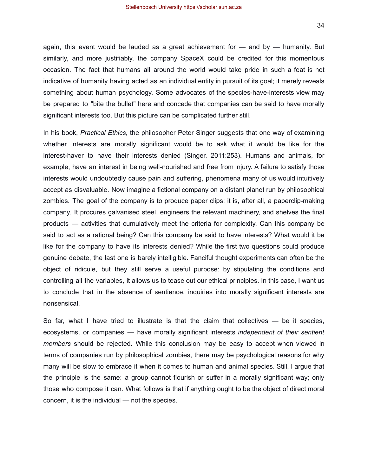again, this event would be lauded as a great achievement for  $-$  and by  $-$  humanity. But similarly, and more justifiably, the company SpaceX could be credited for this momentous occasion. The fact that humans all around the world would take pride in such a feat is not indicative of humanity having acted as an individual entity in pursuit of its goal; it merely reveals something about human psychology. Some advocates of the species-have-interests view may be prepared to "bite the bullet" here and concede that companies can be said to have morally significant interests too. But this picture can be complicated further still.

In his book, *Practical Ethics*, the philosopher Peter Singer suggests that one way of examining whether interests are morally significant would be to ask what it would be like for the interest-haver to have their interests denied (Singer, 2011:253). Humans and animals, for example, have an interest in being well-nourished and free from injury. A failure to satisfy those interests would undoubtedly cause pain and suffering, phenomena many of us would intuitively accept as disvaluable. Now imagine a fictional company on a distant planet run by philosophical zombies. The goal of the company is to produce paper clips; it is, after all, a paperclip-making company. It procures galvanised steel, engineers the relevant machinery, and shelves the final products — activities that cumulatively meet the criteria for complexity. Can this company be said to act as a rational being? Can this company be said to have interests? What would it be like for the company to have its interests denied? While the first two questions could produce genuine debate, the last one is barely intelligible. Fanciful thought experiments can often be the object of ridicule, but they still serve a useful purpose: by stipulating the conditions and controlling all the variables, it allows us to tease out our ethical principles. In this case, I want us to conclude that in the absence of sentience, inquiries into morally significant interests are nonsensical.

So far, what I have tried to illustrate is that the claim that collectives  $-$  be it species, ecosystems, or companies — have morally significant interests *independent of their sentient members* should be rejected. While this conclusion may be easy to accept when viewed in terms of companies run by philosophical zombies, there may be psychological reasons for why many will be slow to embrace it when it comes to human and animal species. Still, I argue that the principle is the same: a group cannot flourish or suffer in a morally significant way; only those who compose it can. What follows is that if anything ought to be the object of direct moral concern, it is the individual — not the species.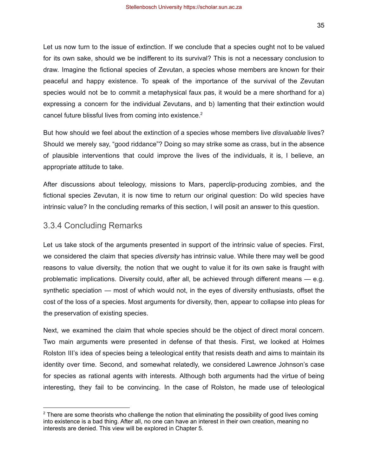Let us now turn to the issue of extinction. If we conclude that a species ought not to be valued for its own sake, should we be indifferent to its survival? This is not a necessary conclusion to draw. Imagine the fictional species of Zevutan, a species whose members are known for their peaceful and happy existence. To speak of the importance of the survival of the Zevutan species would not be to commit a metaphysical faux pas, it would be a mere shorthand for a) expressing a concern for the individual Zevutans, and b) lamenting that their extinction would cancel future blissful lives from coming into existence.<sup>2</sup>

But how should we feel about the extinction of a species whose members live *disvaluable* lives? Should we merely say, "good riddance"? Doing so may strike some as crass, but in the absence of plausible interventions that could improve the lives of the individuals, it is, I believe, an appropriate attitude to take.

After discussions about teleology, missions to Mars, paperclip-producing zombies, and the fictional species Zevutan, it is now time to return our original question: Do wild species have intrinsic value? In the concluding remarks of this section, I will posit an answer to this question.

#### <span id="page-35-0"></span>3.3.4 Concluding Remarks

Let us take stock of the arguments presented in support of the intrinsic value of species. First, we considered the claim that species *diversity* has intrinsic value. While there may well be good reasons to value diversity, the notion that we ought to value it for its own sake is fraught with problematic implications. Diversity could, after all, be achieved through different means — e.g. synthetic speciation — most of which would not, in the eyes of diversity enthusiasts, offset the cost of the loss of a species. Most arguments for diversity, then, appear to collapse into pleas for the preservation of existing species.

Next, we examined the claim that whole species should be the object of direct moral concern. Two main arguments were presented in defense of that thesis. First, we looked at Holmes Rolston III's idea of species being a teleological entity that resists death and aims to maintain its identity over time. Second, and somewhat relatedly, we considered Lawrence Johnson's case for species as rational agents with interests. Although both arguments had the virtue of being interesting, they fail to be convincing. In the case of Rolston, he made use of teleological

 $2$  There are some theorists who challenge the notion that eliminating the possibility of good lives coming into existence is a bad thing. After all, no one can have an interest in their own creation, meaning no interests are denied. This view will be explored in Chapter 5.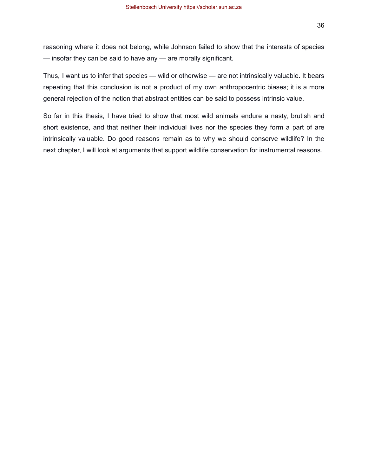reasoning where it does not belong, while Johnson failed to show that the interests of species — insofar they can be said to have any — are morally significant.

Thus, I want us to infer that species — wild or otherwise — are not intrinsically valuable. It bears repeating that this conclusion is not a product of my own anthropocentric biases; it is a more general rejection of the notion that abstract entities can be said to possess intrinsic value.

So far in this thesis, I have tried to show that most wild animals endure a nasty, brutish and short existence, and that neither their individual lives nor the species they form a part of are intrinsically valuable. Do good reasons remain as to why we should conserve wildlife? In the next chapter, I will look at arguments that support wildlife conservation for instrumental reasons.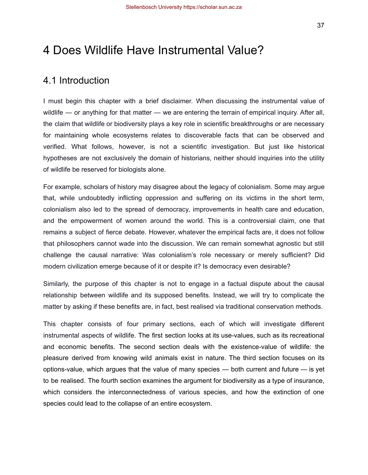# <span id="page-37-0"></span>4 Does Wildlife Have Instrumental Value?

## <span id="page-37-1"></span>4.1 Introduction

I must begin this chapter with a brief disclaimer. When discussing the instrumental value of wildlife — or anything for that matter — we are entering the terrain of empirical inquiry. After all, the claim that wildlife or biodiversity plays a key role in scientific breakthroughs or are necessary for maintaining whole ecosystems relates to discoverable facts that can be observed and verified. What follows, however, is not a scientific investigation. But just like historical hypotheses are not exclusively the domain of historians, neither should inquiries into the utility of wildlife be reserved for biologists alone.

For example, scholars of history may disagree about the legacy of colonialism. Some may argue that, while undoubtedly inflicting oppression and suffering on its victims in the short term, colonialism also led to the spread of democracy, improvements in health care and education, and the empowerment of women around the world. This is a controversial claim, one that remains a subject of fierce debate. However, whatever the empirical facts are, it does not follow that philosophers cannot wade into the discussion. We can remain somewhat agnostic but still challenge the causal narrative: Was colonialism's role necessary or merely sufficient? Did modern civilization emerge because of it or despite it? Is democracy even desirable?

Similarly, the purpose of this chapter is not to engage in a factual dispute about the causal relationship between wildlife and its supposed benefits. Instead, we will try to complicate the matter by asking if these benefits are, in fact, best realised via traditional conservation methods.

This chapter consists of four primary sections, each of which will investigate different instrumental aspects of wildlife. The first section looks at its use-values, such as its recreational and economic benefits. The second section deals with the existence-value of wildlife: the pleasure derived from knowing wild animals exist in nature. The third section focuses on its options-value, which argues that the value of many species — both current and future — is yet to be realised. The fourth section examines the argument for biodiversity as a type of insurance, which considers the interconnectedness of various species, and how the extinction of one species could lead to the collapse of an entire ecosystem.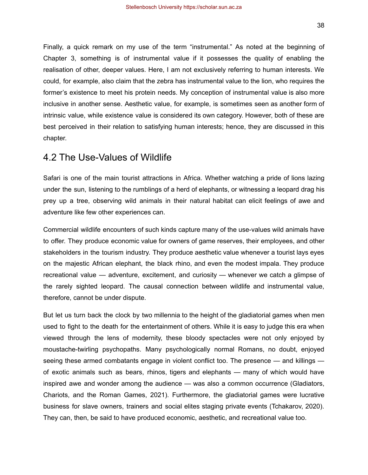Finally, a quick remark on my use of the term "instrumental." As noted at the beginning of Chapter 3, something is of instrumental value if it possesses the quality of enabling the realisation of other, deeper values. Here, I am not exclusively referring to human interests. We could, for example, also claim that the zebra has instrumental value to the lion, who requires the former's existence to meet his protein needs. My conception of instrumental value is also more inclusive in another sense. Aesthetic value, for example, is sometimes seen as another form of intrinsic value, while existence value is considered its own category. However, both of these are best perceived in their relation to satisfying human interests; hence, they are discussed in this chapter.

## <span id="page-38-0"></span>4.2 The Use-Values of Wildlife

Safari is one of the main tourist attractions in Africa. Whether watching a pride of lions lazing under the sun, listening to the rumblings of a herd of elephants, or witnessing a leopard drag his prey up a tree, observing wild animals in their natural habitat can elicit feelings of awe and adventure like few other experiences can.

Commercial wildlife encounters of such kinds capture many of the use-values wild animals have to offer. They produce economic value for owners of game reserves, their employees, and other stakeholders in the tourism industry. They produce aesthetic value whenever a tourist lays eyes on the majestic African elephant, the black rhino, and even the modest impala. They produce recreational value — adventure, excitement, and curiosity — whenever we catch a glimpse of the rarely sighted leopard. The causal connection between wildlife and instrumental value, therefore, cannot be under dispute.

But let us turn back the clock by two millennia to the height of the gladiatorial games when men used to fight to the death for the entertainment of others. While it is easy to judge this era when viewed through the lens of modernity, these bloody spectacles were not only enjoyed by moustache-twirling psychopaths. Many psychologically normal Romans, no doubt, enjoyed seeing these armed combatants engage in violent conflict too. The presence — and killings of exotic animals such as bears, rhinos, tigers and elephants — many of which would have inspired awe and wonder among the audience — was also a common occurrence (Gladiators, Chariots, and the Roman Games, 2021). Furthermore, the gladiatorial games were lucrative business for slave owners, trainers and social elites staging private events (Tchakarov, 2020). They can, then, be said to have produced economic, aesthetic, and recreational value too.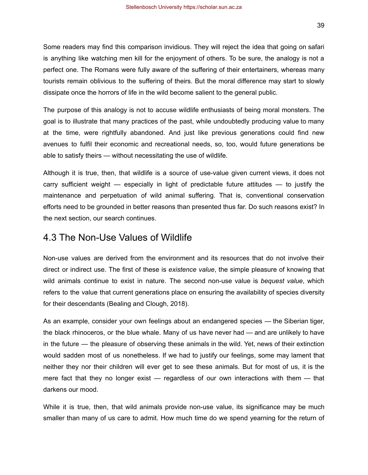Some readers may find this comparison invidious. They will reject the idea that going on safari is anything like watching men kill for the enjoyment of others. To be sure, the analogy is not a perfect one. The Romans were fully aware of the suffering of their entertainers, whereas many tourists remain oblivious to the suffering of theirs. But the moral difference may start to slowly dissipate once the horrors of life in the wild become salient to the general public.

The purpose of this analogy is not to accuse wildlife enthusiasts of being moral monsters. The goal is to illustrate that many practices of the past, while undoubtedly producing value to many at the time, were rightfully abandoned. And just like previous generations could find new avenues to fulfil their economic and recreational needs, so, too, would future generations be able to satisfy theirs — without necessitating the use of wildlife.

Although it is true, then, that wildlife is a source of use-value given current views, it does not carry sufficient weight — especially in light of predictable future attitudes — to justify the maintenance and perpetuation of wild animal suffering. That is, conventional conservation efforts need to be grounded in better reasons than presented thus far. Do such reasons exist? In the next section, our search continues.

### <span id="page-39-0"></span>4.3 The Non-Use Values of Wildlife

Non-use values are derived from the environment and its resources that do not involve their direct or indirect use. The first of these is *existence value*, the simple pleasure of knowing that wild animals continue to exist in nature. The second non-use value is *bequest value*, which refers to the value that current generations place on ensuring the availability of species diversity for their descendants (Bealing and Clough, 2018).

As an example, consider your own feelings about an endangered species — the Siberian tiger, the black rhinoceros, or the blue whale. Many of us have never had — and are unlikely to have in the future — the pleasure of observing these animals in the wild. Yet, news of their extinction would sadden most of us nonetheless. If we had to justify our feelings, some may lament that neither they nor their children will ever get to see these animals. But for most of us, it is the mere fact that they no longer exist — regardless of our own interactions with them — that darkens our mood.

While it is true, then, that wild animals provide non-use value, its significance may be much smaller than many of us care to admit. How much time do we spend yearning for the return of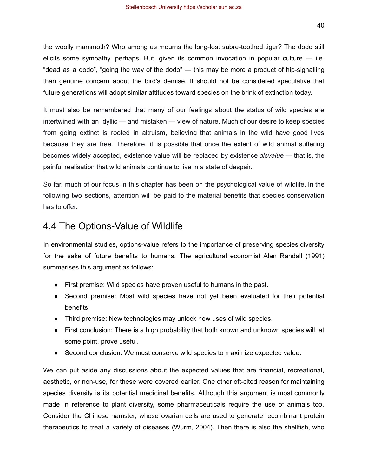the woolly mammoth? Who among us mourns the long-lost sabre-toothed tiger? The dodo still elicits some sympathy, perhaps. But, given its common invocation in popular culture — i.e. "dead as a dodo", "going the way of the dodo" — this may be more a product of hip-signalling than genuine concern about the bird's demise. It should not be considered speculative that future generations will adopt similar attitudes toward species on the brink of extinction today.

It must also be remembered that many of our feelings about the status of wild species are intertwined with an idyllic — and mistaken — view of nature. Much of our desire to keep species from going extinct is rooted in altruism, believing that animals in the wild have good lives because they are free. Therefore, it is possible that once the extent of wild animal suffering becomes widely accepted, existence value will be replaced by existence *disvalue* — that is, the painful realisation that wild animals continue to live in a state of despair.

So far, much of our focus in this chapter has been on the psychological value of wildlife. In the following two sections, attention will be paid to the material benefits that species conservation has to offer.

## <span id="page-40-0"></span>4.4 The Options-Value of Wildlife

In environmental studies, options-value refers to the importance of preserving species diversity for the sake of future benefits to humans. The agricultural economist Alan Randall (1991) summarises this argument as follows:

- First premise: Wild species have proven useful to humans in the past.
- Second premise: Most wild species have not yet been evaluated for their potential benefits.
- Third premise: New technologies may unlock new uses of wild species.
- First conclusion: There is a high probability that both known and unknown species will, at some point, prove useful.
- Second conclusion: We must conserve wild species to maximize expected value.

We can put aside any discussions about the expected values that are financial, recreational, aesthetic, or non-use, for these were covered earlier. One other oft-cited reason for maintaining species diversity is its potential medicinal benefits. Although this argument is most commonly made in reference to plant diversity, some pharmaceuticals require the use of animals too. Consider the Chinese hamster, whose ovarian cells are used to generate recombinant protein therapeutics to treat a variety of diseases (Wurm, 2004). Then there is also the shellfish, who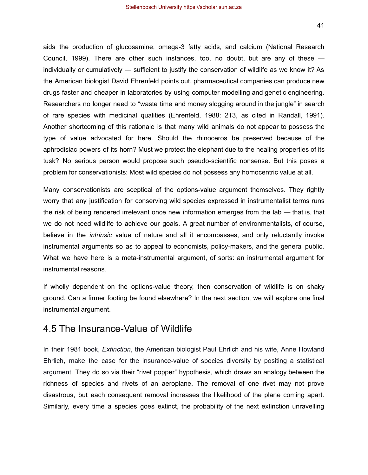aids the production of glucosamine, omega-3 fatty acids, and calcium (National Research Council, 1999). There are other such instances, too, no doubt, but are any of these individually or cumulatively — sufficient to justify the conservation of wildlife as we know it? As the American biologist David Ehrenfeld points out, pharmaceutical companies can produce new drugs faster and cheaper in laboratories by using computer modelling and genetic engineering. Researchers no longer need to "waste time and money slogging around in the jungle" in search of rare species with medicinal qualities (Ehrenfeld, 1988: 213, as cited in Randall, 1991). Another shortcoming of this rationale is that many wild animals do not appear to possess the type of value advocated for here. Should the rhinoceros be preserved because of the aphrodisiac powers of its horn? Must we protect the elephant due to the healing properties of its tusk? No serious person would propose such pseudo-scientific nonsense. But this poses a problem for conservationists: Most wild species do not possess any homocentric value at all.

Many conservationists are sceptical of the options-value argument themselves. They rightly worry that any justification for conserving wild species expressed in instrumentalist terms runs the risk of being rendered irrelevant once new information emerges from the lab — that is, that we do not need wildlife to achieve our goals. A great number of environmentalists, of course, believe in the *intrinsic* value of nature and all it encompasses, and only reluctantly invoke instrumental arguments so as to appeal to economists, policy-makers, and the general public. What we have here is a meta-instrumental argument, of sorts: an instrumental argument for instrumental reasons.

If wholly dependent on the options-value theory, then conservation of wildlife is on shaky ground. Can a firmer footing be found elsewhere? In the next section, we will explore one final instrumental argument.

### <span id="page-41-0"></span>4.5 The Insurance-Value of Wildlife

In their 1981 book, *Extinction*, the American biologist Paul Ehrlich and his wife, Anne Howland Ehrlich, make the case for the insurance-value of species diversity by positing a statistical argument. They do so via their "rivet popper" hypothesis, which draws an analogy between the richness of species and rivets of an aeroplane. The removal of one rivet may not prove disastrous, but each consequent removal increases the likelihood of the plane coming apart. Similarly, every time a species goes extinct, the probability of the next extinction unravelling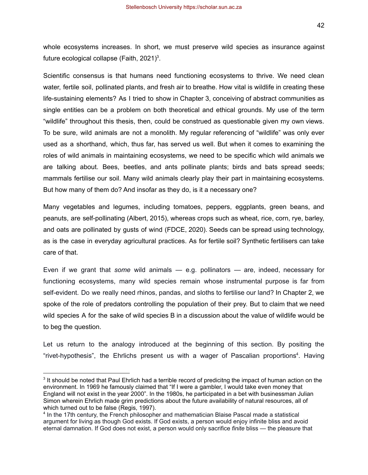42

whole ecosystems increases. In short, we must preserve wild species as insurance against future ecological collapse (Faith,  $2021$ <sup>3</sup>.

Scientific consensus is that humans need functioning ecosystems to thrive. We need clean water, fertile soil, pollinated plants, and fresh air to breathe. How vital is wildlife in creating these life-sustaining elements? As I tried to show in Chapter 3, conceiving of abstract communities as single entities can be a problem on both theoretical and ethical grounds. My use of the term "wildlife" throughout this thesis, then, could be construed as questionable given my own views. To be sure, wild animals are not a monolith. My regular referencing of "wildlife" was only ever used as a shorthand, which, thus far, has served us well. But when it comes to examining the roles of wild animals in maintaining ecosystems, we need to be specific which wild animals we are talking about. Bees, beetles, and ants pollinate plants; birds and bats spread seeds; mammals fertilise our soil. Many wild animals clearly play their part in maintaining ecosystems. But how many of them do? And insofar as they do, is it a necessary one?

Many vegetables and legumes, including tomatoes, peppers, eggplants, green beans, and peanuts, are self-pollinating (Albert, 2015), whereas crops such as wheat, rice, corn, rye, barley, and oats are pollinated by gusts of wind (FDCE, 2020). Seeds can be spread using technology, as is the case in everyday agricultural practices. As for fertile soil? Synthetic fertilisers can take care of that.

Even if we grant that *some* wild animals — e.g. pollinators — are, indeed, necessary for functioning ecosystems, many wild species remain whose instrumental purpose is far from self-evident. Do we really need rhinos, pandas, and sloths to fertilise our land? In Chapter 2, we spoke of the role of predators controlling the population of their prey. But to claim that we need wild species A for the sake of wild species B in a discussion about the value of wildlife would be to beg the question.

Let us return to the analogy introduced at the beginning of this section. By positing the "rivet-hypothesis", the Ehrlichs present us with a wager of Pascalian proportions<sup>4</sup>. Having

<sup>&</sup>lt;sup>3</sup> It should be noted that Paul Ehrlich had a terrible record of predicitng the impact of human action on the environment. In 1969 he famously claimed that "If I were a gambler, I would take even money that England will not exist in the year 2000". In the 1980s, he participated in a bet with businessman Julian Simon wherein Ehrlich made grim predictions about the future availability of natural resources, all of which turned out to be false (Regis, 1997).

<sup>4</sup> In the 17th century, the French philosopher and mathematician Blaise Pascal made a statistical argument for living as though God exists. If God exists, a person would enjoy infinite bliss and avoid eternal damnation. If God does not exist, a person would only sacrifice *finite* bliss — the pleasure that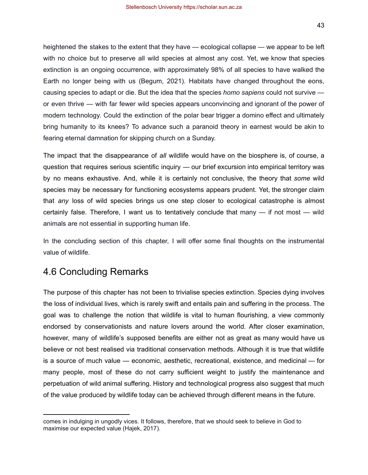heightened the stakes to the extent that they have — ecological collapse — we appear to be left with no choice but to preserve all wild species at almost any cost. Yet, we know that species extinction is an ongoing occurrence, with approximately 98% of all species to have walked the Earth no longer being with us (Begum, 2021). Habitats have changed throughout the eons, causing species to adapt or die. But the idea that the species *homo sapiens* could not survive or even thrive — with far fewer wild species appears unconvincing and ignorant of the power of modern technology. Could the extinction of the polar bear trigger a domino effect and ultimately bring humanity to its knees? To advance such a paranoid theory in earnest would be akin to fearing eternal damnation for skipping church on a Sunday.

The impact that the disappearance of *all* wildlife would have on the biosphere is, of course, a question that requires serious scientific inquiry — our brief excursion into empirical territory was by no means exhaustive. And, while it is certainly not conclusive, the theory that *some* wild species may be necessary for functioning ecosystems appears prudent. Yet, the stronger claim that *any* loss of wild species brings us one step closer to ecological catastrophe is almost certainly false. Therefore, I want us to tentatively conclude that many — if not most — wild animals are not essential in supporting human life.

In the concluding section of this chapter, I will offer some final thoughts on the instrumental value of wildlife.

## <span id="page-43-0"></span>4.6 Concluding Remarks

The purpose of this chapter has not been to trivialise species extinction. Species dying involves the loss of individual lives, which is rarely swift and entails pain and suffering in the process. The goal was to challenge the notion that wildlife is vital to human flourishing, a view commonly endorsed by conservationists and nature lovers around the world. After closer examination, however, many of wildlife's supposed benefits are either not as great as many would have us believe or not best realised via traditional conservation methods. Although it is true that wildlife is a source of much value — economic, aesthetic, recreational, existence, and medicinal — for many people, most of these do not carry sufficient weight to justify the maintenance and perpetuation of wild animal suffering. History and technological progress also suggest that much of the value produced by wildlife today can be achieved through different means in the future.

comes in indulging in ungodly vices. It follows, therefore, that we should seek to believe in God to maximise our expected value (Hajek, 2017).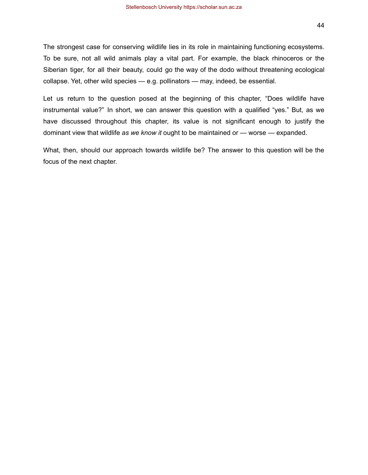The strongest case for conserving wildlife lies in its role in maintaining functioning ecosystems. To be sure, not all wild animals play a vital part. For example, the black rhinoceros or the Siberian tiger, for all their beauty, could go the way of the dodo without threatening ecological collapse. Yet, other wild species — e.g. pollinators — may, indeed, be essential.

Let us return to the question posed at the beginning of this chapter, "Does wildlife have instrumental value?" In short, we can answer this question with a qualified "yes." But, as we have discussed throughout this chapter, its value is not significant enough to justify the dominant view that wildlife *as we know it* ought to be maintained or — worse — expanded.

What, then, should our approach towards wildlife be? The answer to this question will be the focus of the next chapter.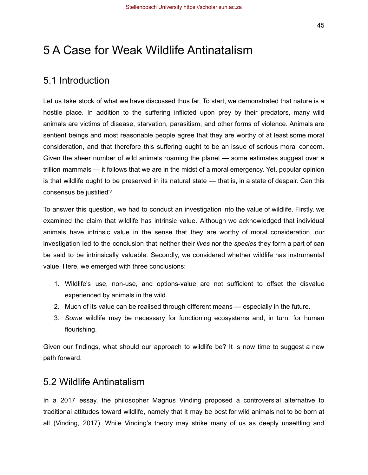# <span id="page-45-0"></span>5 A Case for Weak Wildlife Antinatalism

## <span id="page-45-1"></span>5.1 Introduction

Let us take stock of what we have discussed thus far. To start, we demonstrated that nature is a hostile place. In addition to the suffering inflicted upon prey by their predators, many wild animals are victims of disease, starvation, parasitism, and other forms of violence. Animals are sentient beings and most reasonable people agree that they are worthy of at least some moral consideration, and that therefore this suffering ought to be an issue of serious moral concern. Given the sheer number of wild animals roaming the planet — some estimates suggest over a trillion mammals — it follows that we are in the midst of a moral emergency. Yet, popular opinion is that wildlife ought to be preserved in its natural state — that is, in a state of despair. Can this consensus be justified?

To answer this question, we had to conduct an investigation into the value of wildlife. Firstly, we examined the claim that wildlife has intrinsic value. Although we acknowledged that individual animals have intrinsic value in the sense that they are worthy of moral consideration, our investigation led to the conclusion that neither their *lives* nor the *species* they form a part of can be said to be intrinsically valuable. Secondly, we considered whether wildlife has instrumental value. Here, we emerged with three conclusions:

- 1. Wildlife's use, non-use, and options-value are not sufficient to offset the disvalue experienced by animals in the wild.
- 2. Much of its value can be realised through different means especially in the future.
- 3. *Some* wildlife may be necessary for functioning ecosystems and, in turn, for human flourishing.

Given our findings, what should our approach to wildlife be? It is now time to suggest a new path forward.

## <span id="page-45-2"></span>5.2 Wildlife Antinatalism

In a 2017 essay, the philosopher Magnus Vinding proposed a controversial alternative to traditional attitudes toward wildlife, namely that it may be best for wild animals not to be born at all (Vinding, 2017). While Vinding's theory may strike many of us as deeply unsettling and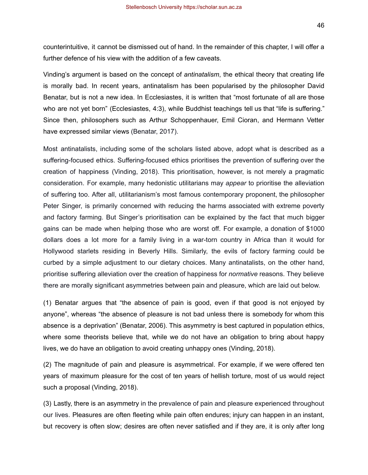counterintuitive, it cannot be dismissed out of hand. In the remainder of this chapter, I will offer a further defence of his view with the addition of a few caveats.

Vinding's argument is based on the concept of *antinatalism*, the ethical theory that creating life is morally bad. In recent years, antinatalism has been popularised by the philosopher David Benatar, but is not a new idea. In Ecclesiastes, it is written that "most fortunate of all are those who are not yet born" (Ecclesiastes, 4:3), while Buddhist teachings tell us that "life is suffering." Since then, philosophers such as Arthur Schoppenhauer, Emil Cioran, and Hermann Vetter have expressed similar views (Benatar, 2017).

Most antinatalists, including some of the scholars listed above, adopt what is described as a suffering-focused ethics. Suffering-focused ethics prioritises the prevention of suffering over the creation of happiness (Vinding, 2018). This prioritisation, however, is not merely a pragmatic consideration. For example, many hedonistic utilitarians may *appear* to prioritise the alleviation of suffering too. After all, utilitarianism's most famous contemporary proponent, the philosopher Peter Singer, is primarily concerned with reducing the harms associated with extreme poverty and factory farming. But Singer's prioritisation can be explained by the fact that much bigger gains can be made when helping those who are worst off. For example, a donation of \$1000 dollars does a lot more for a family living in a war-torn country in Africa than it would for Hollywood starlets residing in Beverly Hills. Similarly, the evils of factory farming could be curbed by a simple adjustment to our dietary choices. Many antinatalists, on the other hand, prioritise suffering alleviation over the creation of happiness for *normative* reasons. They believe there are morally significant asymmetries between pain and pleasure, which are laid out below.

(1) Benatar argues that "the absence of pain is good, even if that good is not enjoyed by anyone", whereas "the absence of pleasure is not bad unless there is somebody for whom this absence is a deprivation" (Benatar, 2006). This asymmetry is best captured in population ethics, where some theorists believe that, while we do not have an obligation to bring about happy lives, we do have an obligation to avoid creating unhappy ones (Vinding, 2018).

(2) The magnitude of pain and pleasure is asymmetrical. For example, if we were offered ten years of maximum pleasure for the cost of ten years of hellish torture, most of us would reject such a proposal (Vinding, 2018).

(3) Lastly, there is an asymmetry in the prevalence of pain and pleasure experienced throughout our lives. Pleasures are often fleeting while pain often endures; injury can happen in an instant, but recovery is often slow; desires are often never satisfied and if they are, it is only after long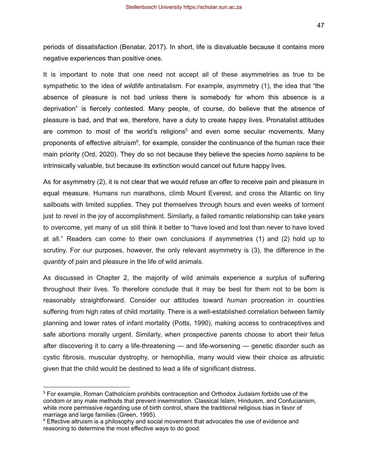47

periods of dissatisfaction (Benatar, 2017). In short, life is disvaluable because it contains more negative experiences than positive ones.

It is important to note that one need not accept all of these asymmetries as true to be sympathetic to the idea of *wildlife* antinatalism. For example, asymmetry (1), the idea that "the absence of pleasure is not bad unless there is somebody for whom this absence is a deprivation" is fiercely contested. Many people, of course, do believe that the absence of pleasure is bad, and that we, therefore, have a duty to create happy lives. Pronatalist attitudes are common to most of the world's religions<sup>5</sup> and even some secular movements. Many proponents of effective altruism<sup>6</sup>, for example, consider the continuance of the human race their main priority (Ord, 2020). They do so not because they believe the species *homo sapiens* to be intrinsically valuable, but because its extinction would cancel out future happy lives.

As for asymmetry (2), it is not clear that we would refuse an offer to receive pain and pleasure in equal measure. Humans run marathons, climb Mount Everest, and cross the Atlantic on tiny sailboats with limited supplies. They put themselves through hours and even weeks of torment just to revel in the joy of accomplishment. Similarly, a failed romantic relationship can take years to overcome, yet many of us still think it better to "have loved and lost than never to have loved at all." Readers can come to their own conclusions if asymmetries (1) and (2) hold up to scrutiny. For our purposes, however, the only relevant asymmetry is (3), the difference in the *quantity* of pain and pleasure in the life of wild animals.

As discussed in Chapter 2, the majority of wild animals experience a surplus of suffering throughout their lives. To therefore conclude that it may be best for them not to be born is reasonably straightforward. Consider our attitudes toward *human* procreation in countries suffering from high rates of child mortality. There is a well-established correlation between family planning and lower rates of infant mortality (Potts, 1990), making access to contraceptives and safe abortions morally urgent. Similarly, when prospective parents choose to abort their fetus after discovering it to carry a life-threatening — and life-worsening — genetic disorder such as cystic fibrosis, muscular dystrophy, or hemophilia, many would view their choice as altruistic given that the child would be destined to lead a life of significant distress.

<sup>5</sup> For example, Roman Catholicism prohibits contraception and Orthodox Judaism forbids use of the condom or any male methods that prevent insemination. Classical Islam, Hinduism, and Confucianism, while more permissive regarding use of birth control, share the traditional religious bias in favor of marriage and large families (Green, 1995).

 $6$  Effective altruism is a philosophy and social movement that advocates the use of evidence and reasoning to determine the most effective ways to do good.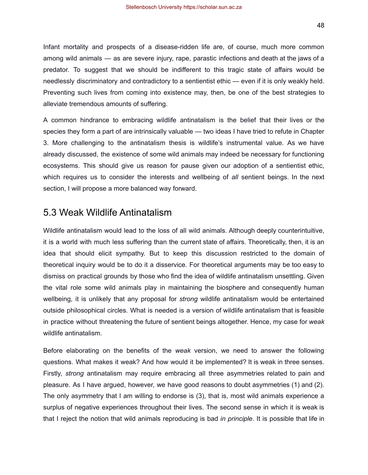Infant mortality and prospects of a disease-ridden life are, of course, much more common among wild animals — as are severe injury, rape, parastic infections and death at the jaws of a predator. To suggest that we should be indifferent to this tragic state of affairs would be needlessly discriminatory and contradictory to a sentientist ethic — even if it is only weakly held. Preventing such lives from coming into existence may, then, be one of the best strategies to alleviate tremendous amounts of suffering.

A common hindrance to embracing wildlife antinatalism is the belief that their lives or the species they form a part of are intrinsically valuable — two ideas I have tried to refute in Chapter 3. More challenging to the antinatalism thesis is wildlife's instrumental value. As we have already discussed, the existence of some wild animals may indeed be necessary for functioning ecosystems. This should give us reason for pause given our adoption of a sentientist ethic, which requires us to consider the interests and wellbeing of *all* sentient beings. In the next section, I will propose a more balanced way forward.

## <span id="page-48-0"></span>5.3 Weak Wildlife Antinatalism

Wildlife antinatalism would lead to the loss of all wild animals. Although deeply counterintuitive, it is a world with much less suffering than the current state of affairs. Theoretically, then, it is an idea that should elicit sympathy. But to keep this discussion restricted to the domain of theoretical inquiry would be to do it a disservice. For theoretical arguments may be too easy to dismiss on practical grounds by those who find the idea of wildlife antinatalism unsettling. Given the vital role some wild animals play in maintaining the biosphere and consequently human wellbeing, it is unlikely that any proposal for *strong* wildlife antinatalism would be entertained outside philosophical circles. What is needed is a version of wildlife antinatalism that is feasible in practice without threatening the future of sentient beings altogether. Hence, my case for *weak* wildlife antinatalism.

Before elaborating on the benefits of the *weak* version, we need to answer the following questions. What makes it weak? And how would it be implemented? It is weak in three senses. Firstly, *strong* antinatalism may require embracing all three asymmetries related to pain and pleasure. As I have argued, however, we have good reasons to doubt asymmetries (1) and (2). The only asymmetry that I am willing to endorse is (3), that is, most wild animals experience a surplus of negative experiences throughout their lives. The second sense in which it is weak is that I reject the notion that wild animals reproducing is bad *in principle*. It is possible that life in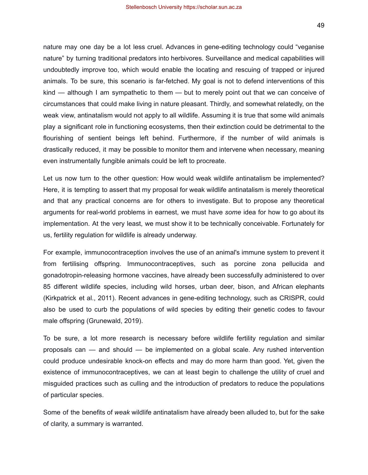nature may one day be a lot less cruel. Advances in gene-editing technology could "veganise nature" by turning traditional predators into herbivores. Surveillance and medical capabilities will undoubtedly improve too, which would enable the locating and rescuing of trapped or injured animals. To be sure, this scenario is far-fetched. My goal is not to defend interventions of this kind — although I am sympathetic to them — but to merely point out that we can conceive of circumstances that could make living in nature pleasant. Thirdly, and somewhat relatedly, on the weak view, antinatalism would not apply to all wildlife. Assuming it is true that some wild animals play a significant role in functioning ecosystems, then their extinction could be detrimental to the flourishing of sentient beings left behind. Furthermore, if the number of wild animals is drastically reduced, it may be possible to monitor them and intervene when necessary, meaning even instrumentally fungible animals could be left to procreate.

Let us now turn to the other question: How would weak wildlife antinatalism be implemented? Here, it is tempting to assert that my proposal for weak wildlife antinatalism is merely theoretical and that any practical concerns are for others to investigate. But to propose any theoretical arguments for real-world problems in earnest, we must have *some* idea for how to go about its implementation. At the very least, we must show it to be technically conceivable. Fortunately for us, fertility regulation for wildlife is already underway.

For example, immunocontraception involves the use of an animal's immune system to prevent it from fertilising offspring. Immunocontraceptives, such as porcine zona pellucida and gonadotropin-releasing hormone vaccines, have already been successfully administered to over 85 different wildlife species, including wild horses, urban deer, bison, and African elephants (Kirkpatrick et al., 2011). Recent advances in gene-editing technology, such as CRISPR, could also be used to curb the populations of wild species by editing their genetic codes to favour male offspring (Grunewald, 2019).

To be sure, a lot more research is necessary before wildlife fertility regulation and similar proposals can — and should — be implemented on a global scale. Any rushed intervention could produce undesirable knock-on effects and may do more harm than good. Yet, given the existence of immunocontraceptives, we can at least begin to challenge the utility of cruel and misguided practices such as culling and the introduction of predators to reduce the populations of particular species.

Some of the benefits of *weak* wildlife antinatalism have already been alluded to, but for the sake of clarity, a summary is warranted.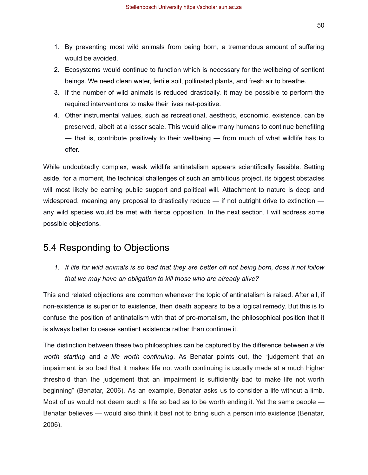- 1. By preventing most wild animals from being born, a tremendous amount of suffering would be avoided.
- 2. Ecosystems would continue to function which is necessary for the wellbeing of sentient beings. We need clean water, fertile soil, pollinated plants, and fresh air to breathe.
- 3. If the number of wild animals is reduced drastically, it may be possible to perform the required interventions to make their lives net-positive.
- 4. Other instrumental values, such as recreational, aesthetic, economic, existence, can be preserved, albeit at a lesser scale. This would allow many humans to continue benefiting — that is, contribute positively to their wellbeing — from much of what wildlife has to offer.

While undoubtedly complex, weak wildlife antinatalism appears scientifically feasible. Setting aside, for a moment, the technical challenges of such an ambitious project, its biggest obstacles will most likely be earning public support and political will. Attachment to nature is deep and widespread, meaning any proposal to drastically reduce — if not outright drive to extinction any wild species would be met with fierce opposition. In the next section, I will address some possible objections.

## <span id="page-50-0"></span>5.4 Responding to Objections

*1. If life for wild animals is so bad that they are better off not being born, does it not follow that we may have an obligation to kill those who are already alive?*

This and related objections are common whenever the topic of antinatalism is raised. After all, if non-existence is superior to existence, then death appears to be a logical remedy. But this is to confuse the position of antinatalism with that of pro-mortalism, the philosophical position that it is always better to cease sentient existence rather than continue it.

The distinction between these two philosophies can be captured by the difference between *a life worth starting* and *a life worth continuing*. As Benatar points out, the "judgement that an impairment is so bad that it makes life not worth continuing is usually made at a much higher threshold than the judgement that an impairment is sufficiently bad to make life not worth beginning" (Benatar, 2006). As an example, Benatar asks us to consider a life without a limb. Most of us would not deem such a life so bad as to be worth ending it. Yet the same people — Benatar believes — would also think it best not to bring such a person into existence (Benatar, 2006).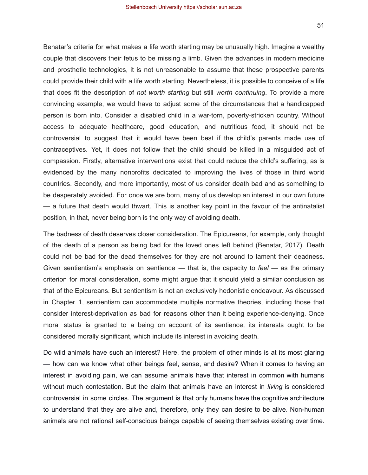Benatar's criteria for what makes a life worth starting may be unusually high. Imagine a wealthy couple that discovers their fetus to be missing a limb. Given the advances in modern medicine and prosthetic technologies, it is not unreasonable to assume that these prospective parents could provide their child with a life worth starting. Nevertheless, it is possible to conceive of a life that does fit the description of *not worth starting* but still *worth continuing*. To provide a more convincing example, we would have to adjust some of the circumstances that a handicapped person is born into. Consider a disabled child in a war-torn, poverty-stricken country. Without access to adequate healthcare, good education, and nutritious food, it should not be controversial to suggest that it would have been best if the child's parents made use of contraceptives. Yet, it does not follow that the child should be killed in a misguided act of compassion. Firstly, alternative interventions exist that could reduce the child's suffering, as is evidenced by the many nonprofits dedicated to improving the lives of those in third world countries. Secondly, and more importantly, most of us consider death bad and as something to be desperately avoided. For once we are born, many of us develop an interest in our own future — a future that death would thwart. This is another key point in the favour of the antinatalist position, in that, never being born is the only way of avoiding death.

The badness of death deserves closer consideration. The Epicureans, for example, only thought of the death of a person as being bad for the loved ones left behind (Benatar, 2017). Death could not be bad for the dead themselves for they are not around to lament their deadness. Given sentientism's emphasis on sentience — that is, the capacity to *feel* — as the primary criterion for moral consideration, some might argue that it should yield a similar conclusion as that of the Epicureans. But sentientism is not an exclusively hedonistic endeavour. As discussed in Chapter 1, sentientism can accommodate multiple normative theories, including those that consider interest-deprivation as bad for reasons other than it being experience-denying. Once moral status is granted to a being on account of its sentience, its interests ought to be considered morally significant, which include its interest in avoiding death.

Do wild animals have such an interest? Here, the problem of other minds is at its most glaring — how can we know what other beings feel, sense, and desire? When it comes to having an interest in avoiding pain, we can assume animals have that interest in common with humans without much contestation. But the claim that animals have an interest in *living* is considered controversial in some circles. The argument is that only humans have the cognitive architecture to understand that they are alive and, therefore, only they can desire to be alive. Non-human animals are not rational self-conscious beings capable of seeing themselves existing over time.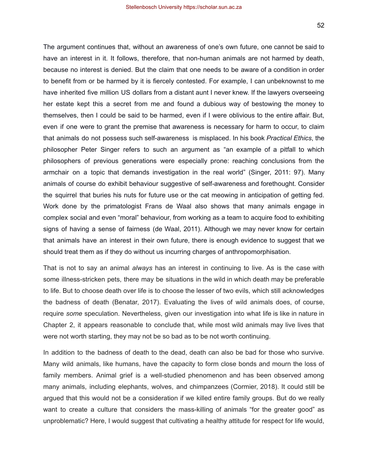The argument continues that, without an awareness of one's own future, one cannot be said to have an interest in it. It follows, therefore, that non-human animals are not harmed by death, because no interest is denied. But the claim that one needs to be aware of a condition in order to benefit from or be harmed by it is fiercely contested. For example, I can unbeknownst to me have inherited five million US dollars from a distant aunt I never knew. If the lawyers overseeing her estate kept this a secret from me and found a dubious way of bestowing the money to themselves, then I could be said to be harmed, even if I were oblivious to the entire affair. But, even if one were to grant the premise that awareness is necessary for harm to occur, to claim that animals do not possess such self-awareness is misplaced. In his book *Practical Ethics*, the philosopher Peter Singer refers to such an argument as "an example of a pitfall to which philosophers of previous generations were especially prone: reaching conclusions from the armchair on a topic that demands investigation in the real world" (Singer, 2011: 97). Many animals of course do exhibit behaviour suggestive of self-awareness and forethought. Consider the squirrel that buries his nuts for future use or the cat meowing in anticipation of getting fed. Work done by the primatologist Frans de Waal also shows that many animals engage in complex social and even "moral" behaviour, from working as a team to acquire food to exhibiting signs of having a sense of fairness (de Waal, 2011). Although we may never know for certain that animals have an interest in their own future, there is enough evidence to suggest that we should treat them as if they do without us incurring charges of anthropomorphisation.

That is not to say an animal *always* has an interest in continuing to live. As is the case with some illness-stricken pets, there may be situations in the wild in which death may be preferable to life. But to choose death over life is to choose the lesser of two evils, which still acknowledges the badness of death (Benatar, 2017). Evaluating the lives of wild animals does, of course, require *some* speculation. Nevertheless, given our investigation into what life is like in nature in Chapter 2, it appears reasonable to conclude that, while most wild animals may live lives that were not worth starting, they may not be so bad as to be not worth continuing.

In addition to the badness of death to the dead, death can also be bad for those who survive. Many wild animals, like humans, have the capacity to form close bonds and mourn the loss of family members. Animal grief is a well-studied phenomenon and has been observed among many animals, including elephants, wolves, and chimpanzees (Cormier, 2018). It could still be argued that this would not be a consideration if we killed entire family groups. But do we really want to create a culture that considers the mass-killing of animals "for the greater good" as unproblematic? Here, I would suggest that cultivating a healthy attitude for respect for life would,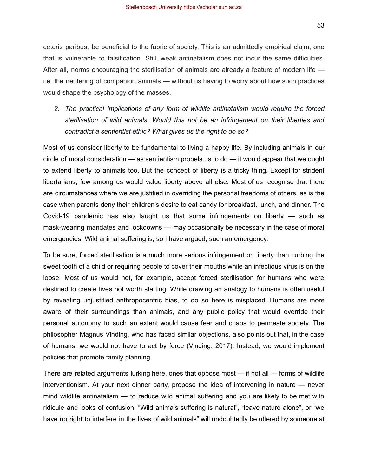*2. The practical implications of any form of wildlife antinatalism would require the forced sterilisation of wild animals. Would this not be an infringement on their liberties and contradict a sentientist ethic? What gives us the right to do so?*

Most of us consider liberty to be fundamental to living a happy life. By including animals in our circle of moral consideration — as sentientism propels us to do — it would appear that we ought to extend liberty to animals too. But the concept of liberty is a tricky thing. Except for strident libertarians, few among us would value liberty above all else. Most of us recognise that there are circumstances where we are justified in overriding the personal freedoms of others, as is the case when parents deny their children's desire to eat candy for breakfast, lunch, and dinner. The Covid-19 pandemic has also taught us that some infringements on liberty — such as mask-wearing mandates and lockdowns — may occasionally be necessary in the case of moral emergencies. Wild animal suffering is, so I have argued, such an emergency.

To be sure, forced sterilisation is a much more serious infringement on liberty than curbing the sweet tooth of a child or requiring people to cover their mouths while an infectious virus is on the loose. Most of us would not, for example, accept forced sterilisation for humans who were destined to create lives not worth starting. While drawing an analogy to humans is often useful by revealing unjustified anthropocentric bias, to do so here is misplaced. Humans are more aware of their surroundings than animals, and any public policy that would override their personal autonomy to such an extent would cause fear and chaos to permeate society. The philosopher Magnus Vinding, who has faced similar objections, also points out that, in the case of humans, we would not have to act by force (Vinding, 2017). Instead, we would implement policies that promote family planning.

There are related arguments lurking here, ones that oppose most — if not all — forms of wildlife interventionism. At your next dinner party, propose the idea of intervening in nature — never mind wildlife antinatalism — to reduce wild animal suffering and you are likely to be met with ridicule and looks of confusion. "Wild animals suffering is natural", "leave nature alone", or "we have no right to interfere in the lives of wild animals" will undoubtedly be uttered by someone at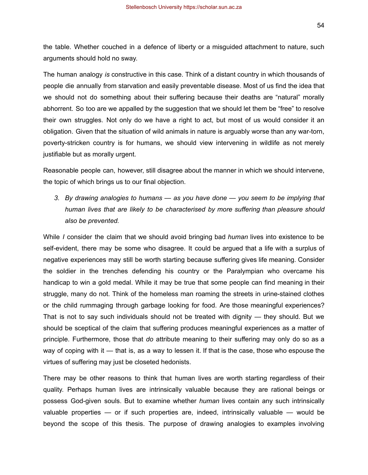54

the table. Whether couched in a defence of liberty or a misguided attachment to nature, such arguments should hold no sway.

The human analogy *is* constructive in this case. Think of a distant country in which thousands of people die annually from starvation and easily preventable disease. Most of us find the idea that we should not do something about their suffering because their deaths are "natural" morally abhorrent. So too are we appalled by the suggestion that we should let them be "free" to resolve their own struggles. Not only do we have a right to act, but most of us would consider it an obligation. Given that the situation of wild animals in nature is arguably worse than any war-torn, poverty-stricken country is for humans, we should view intervening in wildlife as not merely justifiable but as morally urgent.

Reasonable people can, however, still disagree about the manner in which we should intervene, the topic of which brings us to our final objection.

*3. By drawing analogies to humans — as you have done — you seem to be implying that human lives that are likely to be characterised by more suffering than pleasure should also be prevented.*

While *I* consider the claim that we should avoid bringing bad *human* lives into existence to be self-evident, there may be some who disagree. It could be argued that a life with a surplus of negative experiences may still be worth starting because suffering gives life meaning. Consider the soldier in the trenches defending his country or the Paralympian who overcame his handicap to win a gold medal. While it may be true that some people can find meaning in their struggle, many do not. Think of the homeless man roaming the streets in urine-stained clothes or the child rummaging through garbage looking for food. Are those meaningful experiences? That is not to say such individuals should not be treated with dignity — they should. But we should be sceptical of the claim that suffering produces meaningful experiences as a matter of principle. Furthermore, those that *do* attribute meaning to their suffering may only do so as a way of coping with it — that is, as a way to lessen it. If that is the case, those who espouse the virtues of suffering may just be closeted hedonists.

There may be other reasons to think that human lives are worth starting regardless of their quality. Perhaps human lives are intrinsically valuable because they are rational beings or possess God-given souls. But to examine whether *human* lives contain any such intrinsically valuable properties — or if such properties are, indeed, intrinsically valuable — would be beyond the scope of this thesis. The purpose of drawing analogies to examples involving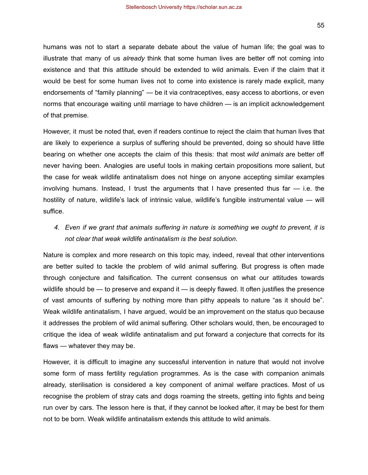humans was not to start a separate debate about the value of human life; the goal was to illustrate that many of us *already* think that some human lives are better off not coming into existence and that this attitude should be extended to wild animals. Even if the claim that it would be best for some human lives not to come into existence is rarely made explicit, many endorsements of "family planning" — be it via contraceptives, easy access to abortions, or even norms that encourage waiting until marriage to have children — is an implicit acknowledgement of that premise.

However, it must be noted that, even if readers continue to reject the claim that human lives that are likely to experience a surplus of suffering should be prevented, doing so should have little bearing on whether one accepts the claim of this thesis: that most *wild animals* are better off never having been. Analogies are useful tools in making certain propositions more salient, but the case for weak wildlife antinatalism does not hinge on anyone accepting similar examples involving humans. Instead, I trust the arguments that I have presented thus far — i.e. the hostility of nature, wildlife's lack of intrinsic value, wildlife's fungible instrumental value — will suffice.

*4. Even if we grant that animals suffering in nature is something we ought to prevent, it is not clear that weak wildlife antinatalism is the best solution.*

Nature is complex and more research on this topic may, indeed, reveal that other interventions are better suited to tackle the problem of wild animal suffering. But progress is often made through conjecture and falsification. The current consensus on what our attitudes towards wildlife should be — to preserve and expand it — is deeply flawed. It often justifies the presence of vast amounts of suffering by nothing more than pithy appeals to nature "as it should be". Weak wildlife antinatalism, I have argued, would be an improvement on the status quo because it addresses the problem of wild animal suffering. Other scholars would, then, be encouraged to critique the idea of weak wildlife antinatalism and put forward a conjecture that corrects for its flaws — whatever they may be.

However, it is difficult to imagine any successful intervention in nature that would not involve some form of mass fertility regulation programmes. As is the case with companion animals already, sterilisation is considered a key component of animal welfare practices. Most of us recognise the problem of stray cats and dogs roaming the streets, getting into fights and being run over by cars. The lesson here is that, if they cannot be looked after, it may be best for them not to be born. Weak wildlife antinatalism extends this attitude to wild animals.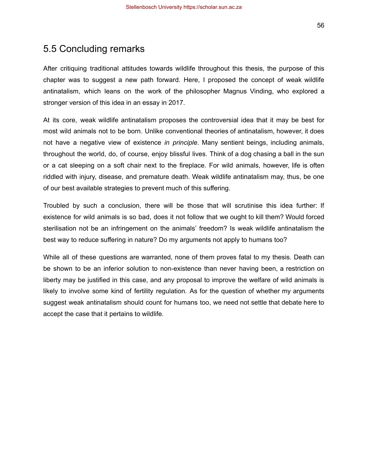<span id="page-56-0"></span>After critiquing traditional attitudes towards wildlife throughout this thesis, the purpose of this chapter was to suggest a new path forward. Here, I proposed the concept of weak wildlife antinatalism, which leans on the work of the philosopher Magnus Vinding, who explored a stronger version of this idea in an essay in 2017.

At its core, weak wildlife antinatalism proposes the controversial idea that it may be best for most wild animals not to be born. Unlike conventional theories of antinatalism, however, it does not have a negative view of existence *in principle*. Many sentient beings, including animals, throughout the world, do, of course, enjoy blissful lives. Think of a dog chasing a ball in the sun or a cat sleeping on a soft chair next to the fireplace. For wild animals, however, life is often riddled with injury, disease, and premature death. Weak wildlife antinatalism may, thus, be one of our best available strategies to prevent much of this suffering.

Troubled by such a conclusion, there will be those that will scrutinise this idea further: If existence for wild animals is so bad, does it not follow that we ought to kill them? Would forced sterilisation not be an infringement on the animals' freedom? Is weak wildlife antinatalism the best way to reduce suffering in nature? Do my arguments not apply to humans too?

While all of these questions are warranted, none of them proves fatal to my thesis. Death can be shown to be an inferior solution to non-existence than never having been, a restriction on liberty may be justified in this case, and any proposal to improve the welfare of wild animals is likely to involve some kind of fertility regulation. As for the question of whether my arguments suggest weak antinatalism should count for humans too, we need not settle that debate here to accept the case that it pertains to wildlife.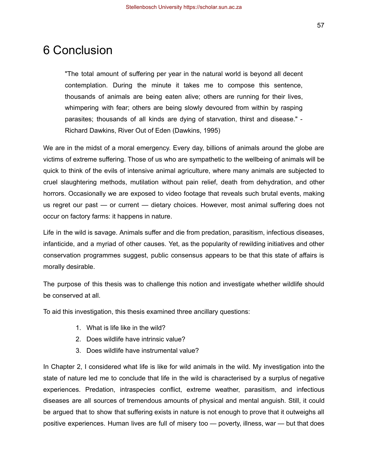## <span id="page-57-0"></span>6 Conclusion

"The total amount of suffering per year in the natural world is beyond all decent contemplation. During the minute it takes me to compose this sentence, thousands of animals are being eaten alive; others are running for their lives, whimpering with fear; others are being slowly devoured from within by rasping parasites; thousands of all kinds are dying of starvation, thirst and disease." - Richard Dawkins, River Out of Eden (Dawkins, 1995)

We are in the midst of a moral emergency. Every day, billions of animals around the globe are victims of extreme suffering. Those of us who are sympathetic to the wellbeing of animals will be quick to think of the evils of intensive animal agriculture, where many animals are subjected to cruel slaughtering methods, mutilation without pain relief, death from dehydration, and other horrors. Occasionally we are exposed to video footage that reveals such brutal events, making us regret our past — or current — dietary choices. However, most animal suffering does not occur on factory farms: it happens in nature.

Life in the wild is savage. Animals suffer and die from predation, parasitism, infectious diseases, infanticide, and a myriad of other causes. Yet, as the popularity of rewilding initiatives and other conservation programmes suggest, public consensus appears to be that this state of affairs is morally desirable.

The purpose of this thesis was to challenge this notion and investigate whether wildlife should be conserved at all.

To aid this investigation, this thesis examined three ancillary questions:

- 1. What is life like in the wild?
- 2. Does wildlife have intrinsic value?
- 3. Does wildlife have instrumental value?

In Chapter 2, I considered what life is like for wild animals in the wild. My investigation into the state of nature led me to conclude that life in the wild is characterised by a surplus of negative experiences. Predation, intraspecies conflict, extreme weather, parasitism, and infectious diseases are all sources of tremendous amounts of physical and mental anguish. Still, it could be argued that to show that suffering exists in nature is not enough to prove that it outweighs all positive experiences. Human lives are full of misery too — poverty, illness, war — but that does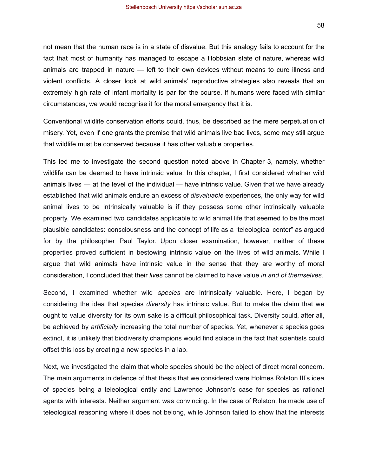not mean that the human race is in a state of disvalue. But this analogy fails to account for the fact that most of humanity has managed to escape a Hobbsian state of nature, whereas wild animals are trapped in nature — left to their own devices without means to cure illness and violent conflicts. A closer look at wild animals' reproductive strategies also reveals that an extremely high rate of infant mortality is par for the course. If humans were faced with similar circumstances, we would recognise it for the moral emergency that it is.

Conventional wildlife conservation efforts could, thus, be described as the mere perpetuation of misery. Yet, even if one grants the premise that wild animals live bad lives, some may still argue that wildlife must be conserved because it has other valuable properties.

This led me to investigate the second question noted above in Chapter 3, namely, whether wildlife can be deemed to have intrinsic value. In this chapter, I first considered whether wild animals lives — at the level of the individual — have intrinsic value. Given that we have already established that wild animals endure an excess of *disvaluable* experiences, the only way for wild animal lives to be intrinsically valuable is if they possess some other intrinsically valuable property. We examined two candidates applicable to wild animal life that seemed to be the most plausible candidates: consciousness and the concept of life as a "teleological center" as argued for by the philosopher Paul Taylor. Upon closer examination, however, neither of these properties proved sufficient in bestowing intrinsic value on the lives of wild animals. While I argue that wild animals have intrinsic value in the sense that they are worthy of moral consideration, I concluded that their *lives* cannot be claimed to have value *in and of themselves*.

Second, I examined whether wild *species* are intrinsically valuable. Here, I began by considering the idea that species *diversity* has intrinsic value. But to make the claim that we ought to value diversity for its own sake is a difficult philosophical task. Diversity could, after all, be achieved by *artificially* increasing the total number of species. Yet, whenever a species goes extinct, it is unlikely that biodiversity champions would find solace in the fact that scientists could offset this loss by creating a new species in a lab.

Next, we investigated the claim that whole species should be the object of direct moral concern. The main arguments in defence of that thesis that we considered were Holmes Rolston III's idea of species being a teleological entity and Lawrence Johnson's case for species as rational agents with interests. Neither argument was convincing. In the case of Rolston, he made use of teleological reasoning where it does not belong, while Johnson failed to show that the interests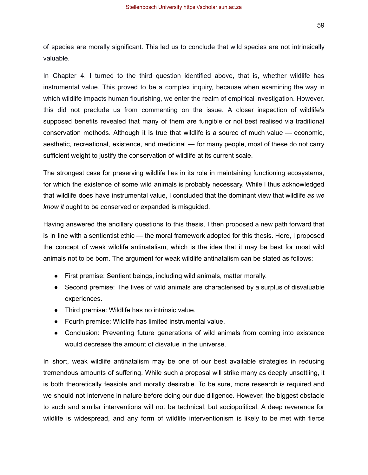59

of species are morally significant. This led us to conclude that wild species are not intrinsically valuable.

In Chapter 4, I turned to the third question identified above, that is, whether wildlife has instrumental value. This proved to be a complex inquiry, because when examining the way in which wildlife impacts human flourishing, we enter the realm of empirical investigation. However, this did not preclude us from commenting on the issue. A closer inspection of wildlife's supposed benefits revealed that many of them are fungible or not best realised via traditional conservation methods. Although it is true that wildlife is a source of much value — economic, aesthetic, recreational, existence, and medicinal — for many people, most of these do not carry sufficient weight to justify the conservation of wildlife at its current scale.

The strongest case for preserving wildlife lies in its role in maintaining functioning ecosystems, for which the existence of some wild animals is probably necessary. While I thus acknowledged that wildlife does have instrumental value, I concluded that the dominant view that wildlife *as we know it* ought to be conserved or expanded is misguided.

Having answered the ancillary questions to this thesis, I then proposed a new path forward that is in line with a sentientist ethic — the moral framework adopted for this thesis. Here, I proposed the concept of weak wildlife antinatalism, which is the idea that it may be best for most wild animals not to be born. The argument for weak wildlife antinatalism can be stated as follows:

- First premise: Sentient beings, including wild animals, matter morally.
- Second premise: The lives of wild animals are characterised by a surplus of disvaluable experiences.
- Third premise: Wildlife has no intrinsic value.
- Fourth premise: Wildlife has limited instrumental value.
- Conclusion: Preventing future generations of wild animals from coming into existence would decrease the amount of disvalue in the universe.

In short, weak wildlife antinatalism may be one of our best available strategies in reducing tremendous amounts of suffering. While such a proposal will strike many as deeply unsettling, it is both theoretically feasible and morally desirable. To be sure, more research is required and we should not intervene in nature before doing our due diligence. However, the biggest obstacle to such and similar interventions will not be technical, but sociopolitical. A deep reverence for wildlife is widespread, and any form of wildlife interventionism is likely to be met with fierce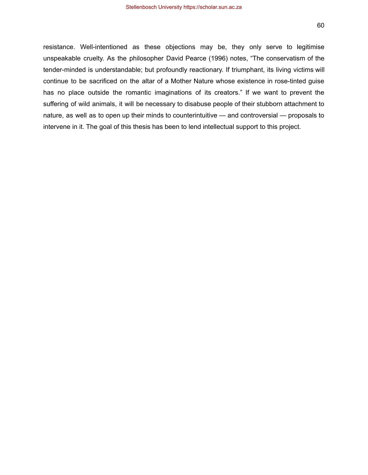resistance. Well-intentioned as these objections may be, they only serve to legitimise unspeakable cruelty. As the philosopher David Pearce (1996) notes, "The conservatism of the tender-minded is understandable; but profoundly reactionary. If triumphant, its living victims will continue to be sacrificed on the altar of a Mother Nature whose existence in rose-tinted guise has no place outside the romantic imaginations of its creators." If we want to prevent the suffering of wild animals, it will be necessary to disabuse people of their stubborn attachment to nature, as well as to open up their minds to counterintuitive — and controversial — proposals to intervene in it. The goal of this thesis has been to lend intellectual support to this project.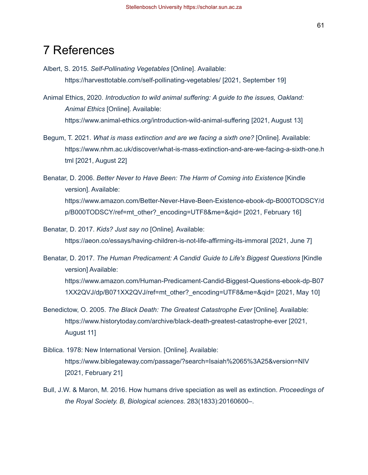## <span id="page-61-0"></span>7 References

- Albert, S. 2015. *Self-Pollinating Vegetables* [Online]. Available: <https://harvesttotable.com/self-pollinating-vegetables/> [2021, September 19]
- Animal Ethics, 2020. *Introduction to wild animal suffering: A guide to the issues, Oakland: Animal Ethics* [Online]. Available: <https://www.animal-ethics.org/introduction-wild-animal-suffering> [2021, August 13]
- Begum, T. 2021. *What is mass extinction and are we facing a sixth one?* [Online]. Available: [https://www.nhm.ac.uk/discover/what-is-mass-extinction-and-are-we-facing-a-sixth-one.h](https://www.nhm.ac.uk/discover/what-is-mass-extinction-and-are-we-facing-a-sixth-one.html) [tml](https://www.nhm.ac.uk/discover/what-is-mass-extinction-and-are-we-facing-a-sixth-one.html) [2021, August 22]
- Benatar, D. 2006. *Better Never to Have Been: The Harm of Coming into Existence* [Kindle version]. Available: [https://www.amazon.com/Better-Never-Have-Been-Existence-ebook-dp-B000TODSCY/d](https://www.amazon.com/Better-Never-Have-Been-Existence-ebook-dp-B000TODSCY/dp/B000TODSCY/ref=mt_other?_encoding=UTF8&me=&qid=) [p/B000TODSCY/ref=mt\\_other?\\_encoding=UTF8&me=&qid=](https://www.amazon.com/Better-Never-Have-Been-Existence-ebook-dp-B000TODSCY/dp/B000TODSCY/ref=mt_other?_encoding=UTF8&me=&qid=) [2021, February 16]
- Benatar, D. 2017. *Kids? Just say no* [Online]. Available: <https://aeon.co/essays/having-children-is-not-life-affirming-its-immoral> [2021, June 7]
- Benatar, D. 2017. *The Human Predicament: A Candid Guide to Life's Biggest Questions* [Kindle version] Available: [https://www.amazon.com/Human-Predicament-Candid-Biggest-Questions-ebook-dp-B07](https://www.amazon.com/Human-Predicament-Candid-Biggest-Questions-ebook-dp-B071XX2QVJ/dp/B071XX2QVJ/ref=mt_other?_encoding=UTF8&me=&qid=) [1XX2QVJ/dp/B071XX2QVJ/ref=mt\\_other?\\_encoding=UTF8&me=&qid=](https://www.amazon.com/Human-Predicament-Candid-Biggest-Questions-ebook-dp-B071XX2QVJ/dp/B071XX2QVJ/ref=mt_other?_encoding=UTF8&me=&qid=) [2021, May 10]
- Benedictow, O. 2005. *The Black Death: The Greatest Catastrophe Ever* [Online]. Available: <https://www.historytoday.com/archive/black-death-greatest-catastrophe-ever> [2021, August 11]
- Biblica. 1978: New International Version. [Online]. Available: <https://www.biblegateway.com/passage/?search=Isaiah%2065%3A25&version=NIV> [2021, February 21]
- Bull, J.W. & Maron, M. 2016. How humans drive speciation as well as extinction. *Proceedings of the Royal Society. B, Biological sciences*. 283(1833):20160600–.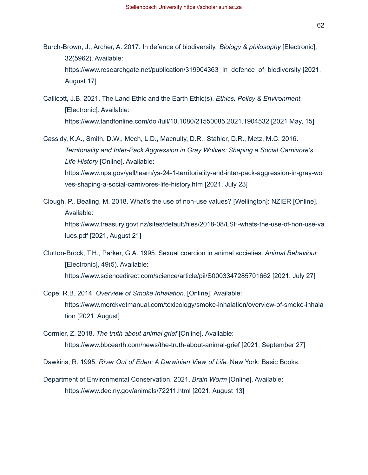- Burch-Brown, J., Archer, A. 2017. In defence of biodiversity. *Biology & philosophy* [Electronic], 32(5962). Available: [https://www.researchgate.net/publication/319904363\\_In\\_defence\\_of\\_biodiversity](https://www.researchgate.net/publication/319904363_In_defence_of_biodiversity) [2021, August 17]
- Callicott, J.B. 2021. The Land Ethic and the Earth Ethic(s). *Ethics, Policy & Environment.* [Electronic]. Available: <https://www.tandfonline.com/doi/full/10.1080/21550085.2021.1904532> [2021 May, 15]
- Cassidy, K.A., Smith, D.W., Mech, L.D., Macnulty, D.R., Stahler, D.R., Metz, M.C. 2016. *Territoriality and Inter-Pack Aggression in Gray Wolves: Shaping a Social Carnivore's Life History* [Online]. Available: [https://www.nps.gov/yell/learn/ys-24-1-territoriality-and-inter-pack-aggression-in-gray-wol](https://www.nps.gov/yell/learn/ys-24-1-territoriality-and-inter-pack-aggression-in-gray-wolves-shaping-a-social-carnivores-life-history.htm) [ves-shaping-a-social-carnivores-life-history.htm](https://www.nps.gov/yell/learn/ys-24-1-territoriality-and-inter-pack-aggression-in-gray-wolves-shaping-a-social-carnivores-life-history.htm) [2021, July 23]
- Clough, P., Bealing, M. 2018. What's the use of non-use values? [Wellington]: NZIER [Online]. Available: [https://www.treasury.govt.nz/sites/default/files/2018-08/LSF-whats-the-use-of-non-use-va](https://www.treasury.govt.nz/sites/default/files/2018-08/LSF-whats-the-use-of-non-use-values.pdf) [lues.pdf](https://www.treasury.govt.nz/sites/default/files/2018-08/LSF-whats-the-use-of-non-use-values.pdf) [2021, August 21]
- Clutton-Brock, T.H., Parker, G.A. 1995. Sexual coercion in animal societies. *Animal Behaviour* [Electronic], 49(5). Available: <https://www.sciencedirect.com/science/article/pii/S0003347285701662> [2021, July 27]
- Cope, R.B. 2014. *Overview of Smoke Inhalation.* [Online]. Available: [https://www.merckvetmanual.com/toxicology/smoke-inhalation/overview-of-smoke-inhala](https://www.merckvetmanual.com/toxicology/smoke-inhalation/overview-of-smoke-inhalation) [tion](https://www.merckvetmanual.com/toxicology/smoke-inhalation/overview-of-smoke-inhalation) [2021, August]
- Cormier, Z. 2018. *The truth about animal grief* [Online]. Available: <https://www.bbcearth.com/news/the-truth-about-animal-grief> [2021, September 27]
- Dawkins, R. 1995. *River Out of Eden: A Darwinian View of Life.* New York: Basic Books.
- Department of Environmental Conservation. 2021. *Brain Worm* [Online]. Available: <https://www.dec.ny.gov/animals/72211.html> [2021, August 13]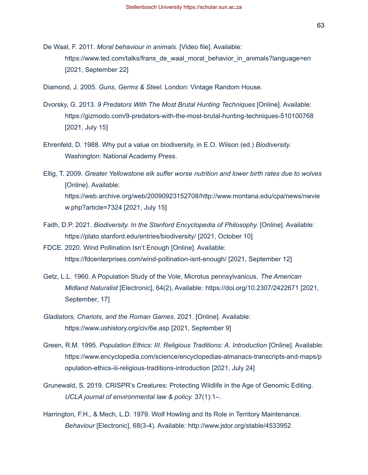De Waal, F. 2011. *Moral behaviour in animals.* [Video file]. Available: [https://www.ted.com/talks/frans\\_de\\_waal\\_moral\\_behavior\\_in\\_animals?language=en](https://www.ted.com/talks/frans_de_waal_moral_behavior_in_animals?language=en) [2021, September 22]

Diamond, J. 2005. *Guns, Germs & Steel.* London: Vintage Random House.

- Dvorsky, G. 2013. *9 Predators With The Most Brutal Hunting Techniques* [Online]. Available: <https://gizmodo.com/9-predators-with-the-most-brutal-hunting-techniques-510100768> [2021, July 15]
- Ehrenfeld, D. 1988. Why put a value on biodiversity, in E.O. Wilson (ed.) *Biodiversity.* Washington: National Academy Press.
- Ellig, T. 2009. *Greater Yellowstone elk suffer worse nutrition and lower birth rates due to wolves* [Online}. Available: [https://web.archive.org/web/20090923152708/http://www.montana.edu/cpa/news/nwvie](https://web.archive.org/web/20090923152708/http://www.montana.edu/cpa/news/nwview.php?article=7324) [w.php?article=7324](https://web.archive.org/web/20090923152708/http://www.montana.edu/cpa/news/nwview.php?article=7324) [2021, July 15]
- Faith, D.P. 2021. *Biodiversity. In the Stanford Encyclopedia of Philosophy.* [Online]. Available: <https://plato.stanford.edu/entries/biodiversity/> [2021, October 10]
- FDCE. 2020. Wind Pollination Isn't Enough [Online]. Available: <https://fdcenterprises.com/wind-pollination-isnt-enough/> [2021, September 12]
- Getz, L.L. 1960. A Population Study of the Vole, Microtus pennsylvanicus. *The American Midland Naturalist* [Electronic], 64(2), Available:<https://doi.org/10.2307/2422671> [2021, September, 17]
- *Gladiators, Chariots, and the Roman Games*. 2021. [Online]. Available: <https://www.ushistory.org/civ/6e.asp> [2021, September 9]
- Green, R.M. 1995. *Population Ethics: III. Religious Traditions: A. Introduction* [Online]. Available: [https://www.encyclopedia.com/science/encyclopedias-almanacs-transcripts-and-maps/p](https://www.encyclopedia.com/science/encyclopedias-almanacs-transcripts-and-maps/population-ethics-iii-religious-traditions-introduction) [opulation-ethics-iii-religious-traditions-introduction](https://www.encyclopedia.com/science/encyclopedias-almanacs-transcripts-and-maps/population-ethics-iii-religious-traditions-introduction) [2021, July 24]
- Grunewald, S. 2019. CRISPR's Creatures: Protecting Wildlife in the Age of Genomic Editing. *UCLA journal of environmental law & policy.* 37(1):1–.
- Harrington, F.H., & Mech, L.D. 1979. Wolf Howling and Its Role in Territory Maintenance. *Behaviour* [Electronic], 68(3-4). Available:<http://www.jstor.org/stable/4533952>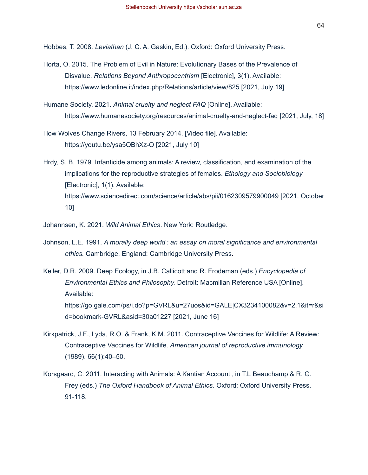Hobbes, T. 2008. *Leviathan* (J. C. A. Gaskin, Ed.). Oxford: Oxford University Press.

- Horta, O. 2015. The Problem of Evil in Nature: Evolutionary Bases of the Prevalence of Disvalue. *Relations Beyond Anthropocentrism* [Electronic], 3(1). Available: <https://www.ledonline.it/index.php/Relations/article/view/825> [2021, July 19]
- Humane Society. 2021. *Animal cruelty and neglect FAQ* [Online]. Available: <https://www.humanesociety.org/resources/animal-cruelty-and-neglect-faq> [2021, July, 18]
- How Wolves Change Rivers, 13 February 2014. [Video file]. Available: <https://youtu.be/ysa5OBhXz-Q> [2021, July 10]
- Hrdy, S. B. 1979. Infanticide among animals: A review, classification, and examination of the implications for the reproductive strategies of females. *Ethology and Sociobiology* [Electronic], 1(1). Available: <https://www.sciencedirect.com/science/article/abs/pii/0162309579900049> [2021, October 10]
- Johannsen, K. 2021. *Wild Animal Ethics*. New York: Routledge.
- Johnson, L.E. 1991. *A morally deep world : an essay on moral significance and environmental ethics.* Cambridge, England: Cambridge University Press.
- Keller, D.R. 2009. Deep Ecology, in J.B. Callicott and R. Frodeman (eds.) *Encyclopedia of Environmental Ethics and Philosophy.* Detroit: Macmillan Reference USA [Online]. Available: [https://go.gale.com/ps/i.do?p=GVRL&u=27uos&id=GALE|CX3234100082&v=2.1&it=r&si](https://go.gale.com/ps/i.do?p=GVRL&u=27uos&id=GALE%7CCX3234100082&v=2.1&it=r&sid=bookmark-GVRL&asid=30a01227) [d=bookmark-GVRL&asid=30a01227](https://go.gale.com/ps/i.do?p=GVRL&u=27uos&id=GALE%7CCX3234100082&v=2.1&it=r&sid=bookmark-GVRL&asid=30a01227) [2021, June 16]
- Kirkpatrick, J.F., Lyda, R.O. & Frank, K.M. 2011. Contraceptive Vaccines for Wildlife: A Review: Contraceptive Vaccines for Wildlife. *American journal of reproductive immunology* (1989). 66(1):40–50.
- Korsgaard, C. 2011. Interacting with Animals: A Kantian Account *,* in T.L Beauchamp & R. G. Frey (eds.) *The Oxford Handbook of Animal Ethics.* Oxford: Oxford University Press. 91-118.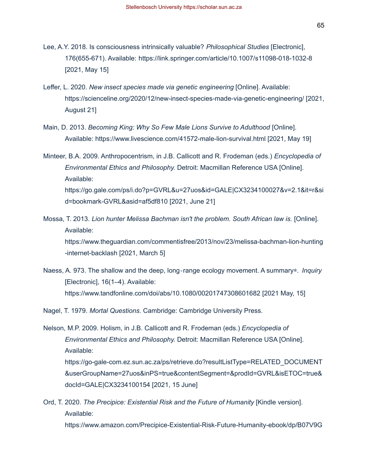- Leffer, L. 2020. *New insect species made via genetic engineering* [Online]. Available: <https://scienceline.org/2020/12/new-insect-species-made-via-genetic-engineering/> [2021, August 21]
- Main, D. 2013. *Becoming King: Why So Few Male Lions Survive to Adulthood* [Online]. Available:<https://www.livescience.com/41572-male-lion-survival.html> [2021, May 19]

Minteer, B.A. 2009. Anthropocentrism, in J.B. Callicott and R. Frodeman (eds.) *Encyclopedia of Environmental Ethics and Philosophy.* Detroit: Macmillan Reference USA [Online]. Available: [https://go.gale.com/ps/i.do?p=GVRL&u=27uos&id=GALE|CX3234100027&v=2.1&it=r&si](https://go.gale.com/ps/i.do?p=GVRL&u=27uos&id=GALE%7CCX3234100027&v=2.1&it=r&sid=bookmark-GVRL&asid=af5df810) [d=bookmark-GVRL&asid=af5df810](https://go.gale.com/ps/i.do?p=GVRL&u=27uos&id=GALE%7CCX3234100027&v=2.1&it=r&sid=bookmark-GVRL&asid=af5df810) [2021, June 21]

Mossa, T. 2013. *Lion hunter Melissa Bachman isn't the problem. South African law is.* [Online]. Available: [https://www.theguardian.com/commentisfree/2013/nov/23/melissa-bachman-lion-hunting](https://www.theguardian.com/commentisfree/2013/nov/23/melissa-bachman-lion-hunting-internet-backlash)

[-internet-backlash](https://www.theguardian.com/commentisfree/2013/nov/23/melissa-bachman-lion-hunting-internet-backlash) [2021, March 5]

Naess, A. 973. The shallow and the deep, long‐range ecology movement. A summary∗. *Inquiry* [Electronic], 16(1–4). Available: <https://www.tandfonline.com/doi/abs/10.1080/00201747308601682> [2021 May, 15]

Nagel, T. 1979. *Mortal Questions.* Cambridge: Cambridge University Press.

Nelson, M.P. 2009. Holism, in J.B. Callicott and R. Frodeman (eds.) *Encyclopedia of Environmental Ethics and Philosophy.* Detroit: Macmillan Reference USA [Online]. Available: [https://go-gale-com.ez.sun.ac.za/ps/retrieve.do?resultListType=RELATED\\_DOCUMENT](https://go-gale-com.ez.sun.ac.za/ps/retrieve.do?resultListType=RELATED_DOCUMENT&userGroupName=27uos&inPS=true&contentSegment=&prodId=GVRL&isETOC=true&docId=GALE%7CCX3234100154) [&userGroupName=27uos&inPS=true&contentSegment=&prodId=GVRL&isETOC=true&](https://go-gale-com.ez.sun.ac.za/ps/retrieve.do?resultListType=RELATED_DOCUMENT&userGroupName=27uos&inPS=true&contentSegment=&prodId=GVRL&isETOC=true&docId=GALE%7CCX3234100154) [docId=GALE|CX3234100154](https://go-gale-com.ez.sun.ac.za/ps/retrieve.do?resultListType=RELATED_DOCUMENT&userGroupName=27uos&inPS=true&contentSegment=&prodId=GVRL&isETOC=true&docId=GALE%7CCX3234100154) [2021, 15 June]

# Ord, T. 2020. *The Precipice: Existential Risk and the Future of Humanity* [Kindle version]. Available:

[https://www.amazon.com/Precipice-Existential-Risk-Future-Humanity-ebook/dp/B07V9G](https://www.amazon.com/Precipice-Existential-Risk-Future-Humanity-ebook/dp/B07V9GHKYP/ref=sr_1_1?crid=2U7SPEU4YAK5B&dchild=1&keywords=the+precipice&qid=1635164555&s=books&sprefix=the+prec%2Cstripbooks-intl-ship%2C286&sr=1-1)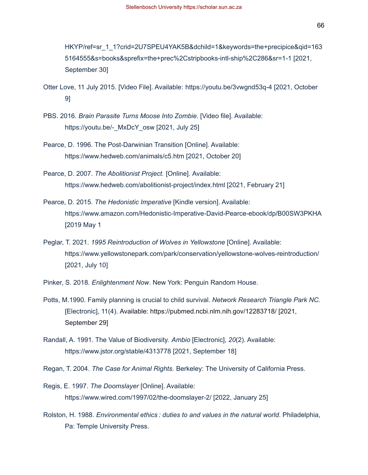[HKYP/ref=sr\\_1\\_1?crid=2U7SPEU4YAK5B&dchild=1&keywords=the+precipice&qid=163](https://www.amazon.com/Precipice-Existential-Risk-Future-Humanity-ebook/dp/B07V9GHKYP/ref=sr_1_1?crid=2U7SPEU4YAK5B&dchild=1&keywords=the+precipice&qid=1635164555&s=books&sprefix=the+prec%2Cstripbooks-intl-ship%2C286&sr=1-1) [5164555&s=books&sprefix=the+prec%2Cstripbooks-intl-ship%2C286&sr=1-1](https://www.amazon.com/Precipice-Existential-Risk-Future-Humanity-ebook/dp/B07V9GHKYP/ref=sr_1_1?crid=2U7SPEU4YAK5B&dchild=1&keywords=the+precipice&qid=1635164555&s=books&sprefix=the+prec%2Cstripbooks-intl-ship%2C286&sr=1-1) [2021, September 30]

- Otter Love, 11 July 2015. [Video File]. Available:<https://youtu.be/3vwgnd53q-4> [2021, October 9]
- PBS. 2016. *Brain Parasite Turns Moose Into Zombie.* [Video file]. Available: [https://youtu.be/-\\_MxDcY\\_osw](https://youtu.be/-_MxDcY_osw) [2021, July 25]
- Pearce, D. 1996. The Post-Darwinian Transition [Online]. Available: <https://www.hedweb.com/animals/c5.htm> [2021, October 20]
- Pearce, D. 2007. *The Abolitionist Project.* [Online]. Available: <https://www.hedweb.com/abolitionist-project/index.html> [2021, February 21]
- Pearce, D. 2015. *The Hedonistic Imperative* [Kindle version]. Available: <https://www.amazon.com/Hedonistic-Imperative-David-Pearce-ebook/dp/B00SW3PKHA> [2019 May 1
- Peglar, T. 2021. *1995 Reintroduction of Wolves in Yellowstone* [Online]. Available: <https://www.yellowstonepark.com/park/conservation/yellowstone-wolves-reintroduction/> [2021, July 10]
- Pinker, S. 2018. *Enlightenment Now*. New York: Penguin Random House.
- Potts, M.1990. Family planning is crucial to child survival. *Network Research Triangle Park NC.* [Electronic], 11(4). Available:<https://pubmed.ncbi.nlm.nih.gov/12283718/> [2021, September 29]
- Randall, A. 1991. The Value of Biodiversity. *Ambio* [Electronic], *20*(2). Available: <https://www.jstor.org/stable/4313778> [2021, September 18]
- Regan, T. 2004. *The Case for Animal Rights.* Berkeley: The University of California Press.
- Regis, E. 1997. *The Doomslayer* [Online]. Available: https://www.wired.com/1997/02/the-doomslayer-2/ [2022, January 25]
- Rolston, H. 1988. *Environmental ethics : duties to and values in the natural world*. Philadelphia, Pa: Temple University Press.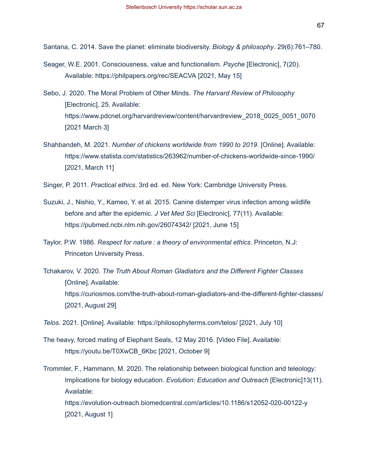Santana, C. 2014. Save the planet: eliminate biodiversity. *Biology & philosophy*. 29(6):761–780.

- Seager, W.E. 2001. Consciousness, value and functionalism. *Psyche* [Electronic], 7(20). Available:<https://philpapers.org/rec/SEACVA> [2021, May 15]
- Sebo, J. 2020. The Moral Problem of Other Minds. *The Harvard Review of Philosophy* [Electronic], 25. Available: [https://www.pdcnet.org/harvardreview/content/harvardreview\\_2018\\_0025\\_0051\\_0070](https://www.pdcnet.org/harvardreview/content/harvardreview_2018_0025_0051_0070) [2021 March 3]
- Shahbandeh, M. 2021. *Number of chickens worldwide from 1990 to 2019*. [Online]. Available: <https://www.statista.com/statistics/263962/number-of-chickens-worldwide-since-1990/> [2021, March 11]

Singer, P. 2011. *Practical ethics*. 3rd ed. ed. New York: Cambridge University Press.

- Suzuki, J., Nishio, Y., Kameo, Y. et al. 2015. Canine distemper virus infection among wildlife before and after the epidemic. *J Vet Med Sci* [Electronic], 77(11). Available: <https://pubmed.ncbi.nlm.nih.gov/26074342/> [2021, June 15]
- Taylor, P.W. 1986. *Respect for nature : a theory of environmental ethics.* Princeton, N.J: Princeton University Press.
- Tchakarov, V. 2020. *The Truth About Roman Gladiators and the Different Fighter Classes* [Online]. Available: <https://curiosmos.com/the-truth-about-roman-gladiators-and-the-different-fighter-classes/> [2021, August 29]

*Telos*. 2021. [Online]. Available:<https://philosophyterms.com/telos/> [2021, July 10]

- The heavy, forced mating of Elephant Seals, 12 May 2016. [Video File]. Available: [https://youtu.be/T0XwCB\\_6Kbc](https://youtu.be/T0XwCB_6Kbc) [2021, October 9]
- Trommler, F., Hammann, M. 2020. The relationship between biological function and teleology: Implications for biology education. *Evolution: Education and Outreach* [Electronic]13(11). Available: <https://evolution-outreach.biomedcentral.com/articles/10.1186/s12052-020-00122-y> [2021, August 1]